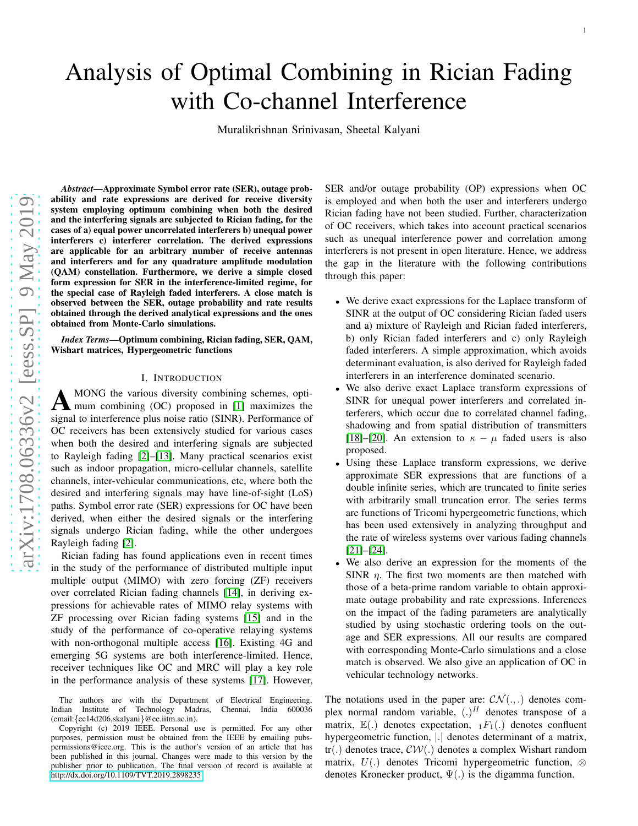# Analysis of Optimal Combining in Rician Fading with Co-channel Interference

Muralikrishnan Srinivasan, Sheetal Kalyani

*Abstract*—Approximate Symbol error rate (SER), outage probability and rate expressions are derived for receive diversity system employing optimum combining when both the desired and the interfering signals are subjected to Rician fading, for the cases of a) equal power uncorrelated interferers b) unequal power interferers c) interferer correlation. The derived expressions are applicable for an arbitrary number of receive antennas and interferers and for any quadrature amplitude modulatio n (QAM) constellation. Furthermore, we derive a simple close d form expression for SER in the interference-limited regime, for the special case of Rayleigh faded interferers. A close match is observed between the SER, outage probability and rate results obtained through the derived analytical expressions and the ones obtained from Monte-Carlo simulations.

*Index Terms*—Optimum combining, Rician fading, SER, QAM, Wishart matrices, Hypergeometric functions

## I. INTRODUCTION

A MONG the various diversity combining schemes, optimum combining (OC) proposed in [\[1\]](#page-13-0) maximizes the signal to interference plus noise ratio (SINR). Performance of OC receivers has been extensively studied for various cases when both the desired and interfering signals are subjected to Rayleigh fading [\[2\]](#page-13-1)–[\[13\]](#page-14-0). Many practical scenarios exis t such as indoor propagation, micro-cellular channels, satellite channels, inter-vehicular communications, etc, where both the desired and interfering signals may have line-of-sight (LoS) paths. Symbol error rate (SER) expressions for OC have been derived, when either the desired signals or the interfering signals undergo Rician fading, while the other undergoes Rayleigh fading [\[2\]](#page-13-1).

Rician fading has found applications even in recent times in the study of the performance of distributed multiple inpu t multiple output (MIMO) with zero forcing (ZF) receivers over correlated Rician fading channels [\[14\]](#page-14-1), in deriving ex pressions for achievable rates of MIMO relay systems with ZF processing over Rician fading systems [\[15\]](#page-14-2) and in the study of the performance of co-operative relaying systems with non-orthogonal multiple access [\[16\]](#page-14-3). Existing 4G and emerging 5G systems are both interference-limited. Hence, receiver techniques like OC and MRC will play a key role in the performance analysis of these systems [\[17\]](#page-14-4). However,

Copyright (c) 2019 IEEE. Personal use is permitted. For any other purposes, permission must be obtained from the IEEE by emailing pubspermissions@ieee.org. This is the author's version of an article that has been published in this journal. Changes were made to this version by the publisher prior to publication. The final version of record is available at <http://dx.doi.org/10.1109/TVT.2019.2898235>

SER and/or outage probability (OP) expressions when OC is employed and when both the user and interferers undergo Rician fading have not been studied. Further, characterization of OC receivers, which takes into account practical scenarios such as unequal interference power and correlation among interferers is not present in open literature. Hence, we address the gap in the literature with the following contributions through this paper:

- We derive exact expressions for the Laplace transform of SINR at the output of OC considering Rician faded users and a) mixture of Rayleigh and Rician faded interferers, b) only Rician faded interferers and c) only Rayleigh faded interferers. A simple approximation, which avoids determinant evaluation, is also derived for Rayleigh faded interferers in an interference dominated scenario.
- We also derive exact Laplace transform expressions of SINR for unequal power interferers and correlated interferers, which occur due to correlated channel fading, shadowing and from spatial distribution of transmitters [\[18\]](#page-14-5)–[\[20\]](#page-14-6). An extension to  $\kappa - \mu$  faded users is also proposed.
- Using these Laplace transform expressions, we derive approximate SER expressions that are functions of a double infinite series, which are truncated to finite series with arbitrarily small truncation error. The series terms are functions of Tricomi hypergeometric functions, which has been used extensively in analyzing throughput and the rate of wireless systems over various fading channels [\[21\]](#page-14-7)–[\[24\]](#page-14-8).
- We also derive an expression for the moments of the SINR  $\eta$ . The first two moments are then matched with those of a beta-prime random variable to obtain approximate outage probability and rate expressions. Inferences on the impact of the fading parameters are analytically studied by using stochastic ordering tools on the outage and SER expressions. All our results are compared with corresponding Monte-Carlo simulations and a close match is observed. We also give an application of OC in vehicular technology networks.

The notations used in the paper are:  $CN(.,.)$  denotes complex normal random variable,  $(.)^H$  denotes transpose of a matrix,  $\mathbb{E}(.)$  denotes expectation,  $_1F_1(.)$  denotes confluent hypergeometric function, | | denotes determinant of a matrix, tr(.) denotes trace,  $\mathcal{CW}(.)$  denotes a complex Wishart random matrix,  $U(.)$  denotes Tricomi hypergeometric function,  $\otimes$ denotes Kronecker product,  $\Psi(.)$  is the digamma function.

The authors are with the Department of Electrical Engineering,<br>dian Institute of Technology Madras, Chennai, India 600036 Indian Institute of Technology Madras, (email: {ee14d206,skalyani }@ee.iitm.ac.in).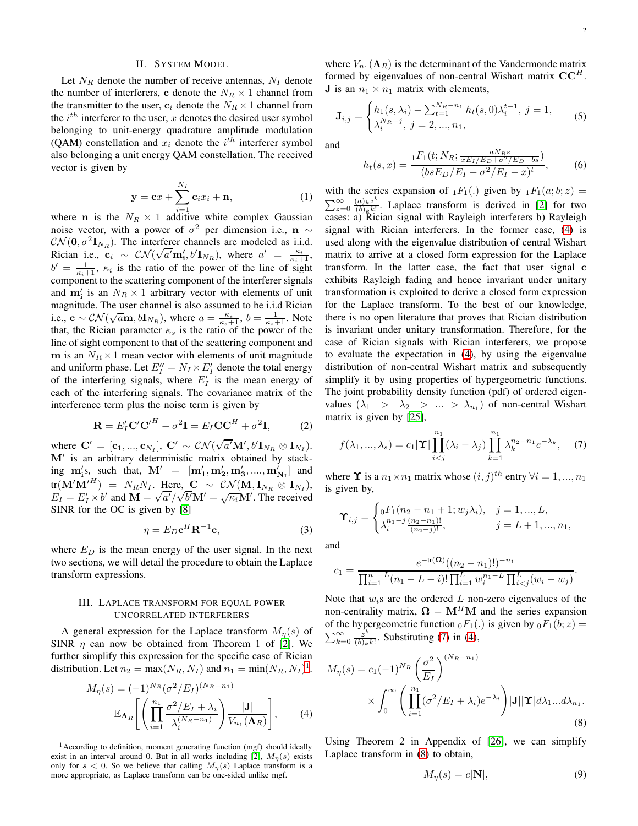# II. SYSTEM MODEL

Let  $N_R$  denote the number of receive antennas,  $N_I$  denote the number of interferers, c denote the  $N_R \times 1$  channel from the transmitter to the user,  $c_i$  denote the  $N_R \times 1$  channel from the  $i^{th}$  interferer to the user, x denotes the desired user symbol belonging to unit-energy quadrature amplitude modulation (QAM) constellation and  $x_i$  denote the  $i^{th}$  interferer symbol also belonging a unit energy QAM constellation. The received vector is given by

$$
\mathbf{y} = \mathbf{c}x + \sum_{i=1}^{N_I} \mathbf{c}_i x_i + \mathbf{n}, \tag{1}
$$

where **n** is the  $N_R \times 1$  additive white complex Gaussian noise vector, with a power of  $\sigma^2$  per dimension i.e.,  $\mathbf{n} \sim$  $\mathcal{CN}(\mathbf{0}, \sigma^2 \mathbf{I}_{N_R})$ . The interferer channels are modeled as i.i.d. Rician i.e.,  $\mathbf{c}_i \sim \mathcal{CN}(\sqrt{a'}\mathbf{m}_i', b'\mathbf{I}_{N_R})$ , where  $a' = \frac{\kappa_i}{\kappa_i+1}$ ,  $b' = \frac{1}{\kappa_i+1}$ ,  $\kappa_i$  is the ratio of the power of the line of sight component to the scattering component of the interferer signals and  $m'_i$  is an  $N_R \times 1$  arbitrary vector with elements of unit magnitude. The user channel is also assumed to be i.i.d Rician i.e.,  $\mathbf{c} \sim \mathcal{CN}(\sqrt{a}\mathbf{m}, b\mathbf{I}_{N_R})$ , where  $a = \frac{\kappa_s}{\kappa_s+1}$ ,  $b = \frac{1}{\kappa_s+1}$ . Note that, the Rician parameter  $\kappa_s$  is the ratio of the power of the line of sight component to that of the scattering component and m is an  $N_R \times 1$  mean vector with elements of unit magnitude and uniform phase. Let  $E_I'' = N_I \times E_I'$  denote the total energy of the interfering signals, where  $E'_I$  is the mean energy of each of the interfering signals. The covariance matrix of the interference term plus the noise term is given by

$$
\mathbf{R} = E_I' \mathbf{C}' \mathbf{C'}^H + \sigma^2 \mathbf{I} = E_I \mathbf{C} \mathbf{C}^H + \sigma^2 \mathbf{I},\tag{2}
$$

where  $\mathbf{C}' = [\mathbf{c}_1, ..., \mathbf{c}_{N_I}], \ \mathbf{C}' \sim \mathcal{CN}(\sqrt{a'}\mathbf{M}', b'\mathbf{I}_{N_R} \otimes \mathbf{I}_{N_I}).$ M′ is an arbitrary deterministic matrix obtained by stacking  $\mathbf{m}'_i$ s, such that,  $\mathbf{M}' = [\mathbf{m}'_1, \mathbf{m}'_2, \mathbf{m}'_3, ..., \mathbf{m}'_{N_I}]$  and  $\text{tr}(\mathbf{M}'\mathbf{M}'^H) = N_R N_I$ . Here,  $\mathbf{C} \sim \mathcal{CN}(\mathbf{M}, \mathbf{I}_{N_R} \otimes \mathbf{I}_{N_I}),$  $E_I = E'_I \times b'$  and  $\mathbf{M} = \sqrt{a'}/\sqrt{b'}\mathbf{M'} = \sqrt{\kappa_i} \mathbf{M'}$ . The received SINR for the OC is given by [\[8\]](#page-13-2)

<span id="page-1-5"></span>
$$
\eta = E_D \mathbf{c}^H \mathbf{R}^{-1} \mathbf{c},\tag{3}
$$

where  $E_D$  is the mean energy of the user signal. In the next two sections, we will detail the procedure to obtain the Laplace transform expressions.

# III. LAPLACE TRANSFORM FOR EQUAL POWER UNCORRELATED INTERFERERS

A general expression for the Laplace transform  $M_n(s)$  of SINR  $\eta$  can now be obtained from Theorem 1 of [\[2\]](#page-13-1). We further simplify this expression for the specific case of Rician distribution. Let  $n_2 = \max(N_R, N_I)$  and  $n_1 = \min(N_R, N_I)^1$  $n_1 = \min(N_R, N_I)^1$  $n_1 = \min(N_R, N_I)^1$ .

$$
M_{\eta}(s) = (-1)^{N_R} (\sigma^2 / E_I)^{(N_R - n_1)} \mathbb{E}_{\mathbf{\Lambda}_R} \left[ \left( \prod_{i=1}^{n_1} \frac{\sigma^2 / E_I + \lambda_i}{\lambda_i^{(N_R - n_1)}} \right) \frac{|\mathbf{J}|}{V_{n_1}(\mathbf{\Lambda}_R)} \right],
$$
 (4)

<span id="page-1-0"></span><sup>1</sup> According to definition, moment generating function (mgf) should ideally exist in an interval around 0. But in all works including [\[2\]](#page-13-1),  $M_{\eta}(s)$  exists only for  $s < 0$ . So we believe that calling  $M_{\eta}(s)$  Laplace transform is a more appropriate, as Laplace transform can be one-sided unlike mgf.

where  $V_{n_1}(\Lambda_R)$  is the determinant of the Vandermonde matrix formed by eigenvalues of non-central Wishart matrix  $CC<sup>H</sup>$ . **J** is an  $n_1 \times n_1$  matrix with elements,

<span id="page-1-6"></span>
$$
\mathbf{J}_{i,j} = \begin{cases} h_1(s, \lambda_i) - \sum_{t=1}^{N_R - n_1} h_t(s, 0) \lambda_i^{t-1}, \ j = 1, \\ \lambda_i^{N_R - j}, \ j = 2, ..., n_1, \end{cases}
$$
(5)

and

<span id="page-1-7"></span>
$$
h_t(s,x) = \frac{{}_1F_1(t; N_R; \frac{aN_Rs}{xE_I/E_D + \sigma^2/E_D - bs})}{(bsE_D/E_I - \sigma^2/E_I - x)^t},
$$
(6)

with the series expansion of  $_1F_1(.)$  given by  $_1F_1(a;b;z)$  =  $\sum_{z=0}^{\infty} \frac{(a)_k z^k}{(b)_k k!}$  $\frac{(a)_k z}{(b)_k k!}$ . Laplace transform is derived in [\[2\]](#page-13-1) for two cases: a) Rician signal with Rayleigh interferers b) Rayleigh signal with Rician interferers. In the former case, [\(4\)](#page-1-1) is used along with the eigenvalue distribution of central Wishart matrix to arrive at a closed form expression for the Laplace transform. In the latter case, the fact that user signal c exhibits Rayleigh fading and hence invariant under unitary transformation is exploited to derive a closed form expression for the Laplace transform. To the best of our knowledge, there is no open literature that proves that Rician distribution is invariant under unitary transformation. Therefore, for the case of Rician signals with Rician interferers, we propose to evaluate the expectation in [\(4\)](#page-1-1), by using the eigenvalue distribution of non-central Wishart matrix and subsequently simplify it by using properties of hypergeometric functions. The joint probability density function (pdf) of ordered eigenvalues  $(\lambda_1 > \lambda_2 > ... > \lambda_{n_1})$  of non-central Wishart matrix is given by [\[25\]](#page-14-9),

<span id="page-1-2"></span>
$$
f(\lambda_1, ..., \lambda_s) = c_1 |\mathbf{\Upsilon}| \prod_{i < j}^{n_1} (\lambda_i - \lambda_j) \prod_{k=1}^{n_1} \lambda_k^{n_2 - n_1} e^{-\lambda_k}, \quad (7)
$$

where  $\Upsilon$  is a  $n_1 \times n_1$  matrix whose  $(i, j)^{th}$  entry  $\forall i = 1, ..., n_1$ is given by,

$$
\mathbf{\Upsilon}_{i,j} = \begin{cases} {}_0F_1(n_2 - n_1 + 1; w_j \lambda_i), & j = 1, ..., L, \\ \lambda_i^{n_1 - j} \frac{(n_2 - n_1)!}{(n_2 - j)!}, & j = L + 1, ..., n_1, \end{cases}
$$

and

$$
c_1 = \frac{e^{-\text{tr}(\Omega)}((n_2 - n_1)!)^{-n_1}}{\prod_{i=1}^{n_1 - L} (n_1 - L - i)! \prod_{i=1}^{L} w_i^{n_1 - L} \prod_{i < j}^{L} (w_i - w_j)}.
$$

Note that  $w_i$ s are the ordered L non-zero eigenvalues of the non-centrality matrix,  $\mathbf{\Omega} = \mathbf{M}^H \mathbf{M}$  and the series expansion of the hypergeometric function  $_0F_1(.)$  is given by  $_0F_1(b; z) =$  $\sum_{k=0}^{\infty} \frac{z^k}{(b)_k}$  $\frac{z^{n}}{(b)_{k}k!}$ . Substituting [\(7\)](#page-1-2) in [\(4\)](#page-1-1),

$$
M_{\eta}(s) = c_1(-1)^{N_R} \left(\frac{\sigma^2}{E_I}\right)^{(N_R - n_1)}
$$

$$
\times \int_0^\infty \left(\prod_{i=1}^{n_1} (\sigma^2 / E_I + \lambda_i) e^{-\lambda_i}\right) |\mathbf{J}| |\mathbf{T}| d\lambda_1 ... d\lambda_{n_1}.
$$
(8)

<span id="page-1-1"></span>Using Theorem 2 in Appendix of [\[26\]](#page-14-10), we can simplify Laplace transform in [\(8\)](#page-1-3) to obtain,

<span id="page-1-4"></span><span id="page-1-3"></span>
$$
M_{\eta}(s) = c|\mathbf{N}|,\tag{9}
$$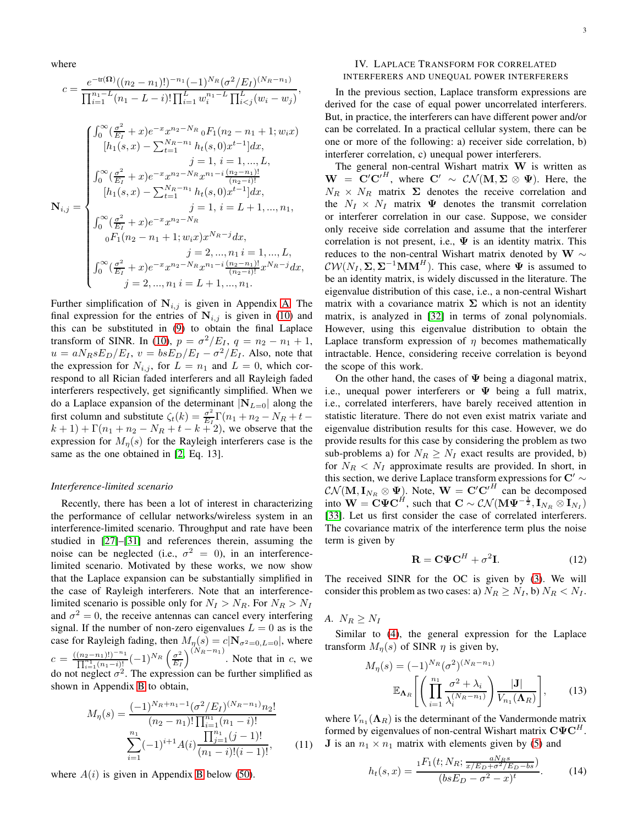where

$$
c = \frac{e^{-\text{tr}(\Omega)}((n_2 - n_1)!)^{-n_1}(-1)^{N_R}(\sigma^2/E_I)^{(N_R - n_1)}}{\prod_{i=1}^{n_1 - L}(n_1 - L - i)! \prod_{i=1}^{L} w_i^{n_1 - L} \prod_{i < j}^{L}(w_i - w_j)},
$$
\n
$$
\begin{cases}\n\int_0^\infty (\frac{\sigma^2}{E_I} + x) e^{-x} x^{n_2 - N_R} {}_0F_1(n_2 - n_1 + 1; w_i x) \\
[h_1(s, x) - \sum_{t=1}^{N_R - n_1} h_t(s, 0) x^{t-1}] dx, \\
j = 1, i = 1, \dots, L, \\
\int_0^\infty (\frac{\sigma^2}{E_I} + x) e^{-x} x^{n_2 - N_R} x^{n_1 - i} \frac{(n_2 - n_1)!}{(n_2 - i)!} \\
[h_1(s, x) - \sum_{t=1}^{N_R - n_1} h_t(s, 0) x^{t-1}] dx, \\
j = 1, i = L + 1, \dots, n_1, \\
\int_0^\infty (\frac{\sigma^2}{E_I} + x) e^{-x} x^{n_2 - N_R} \\
oF_1(n_2 - n_1 + 1; w_i x) x^{N_R - j} dx, \\
j = 2, \dots, n_1 i = 1, \dots, L, \\
\int_0^\infty (\frac{\sigma^2}{E_I} + x) e^{-x} x^{n_2 - N_R} x^{n_1 - i} \frac{(n_2 - n_1)!}{(n_2 - i)!} x^{N_R - j} dx, \\
j = 2, \dots, n_1 i = L + 1, \dots, n_1.\n\end{cases}
$$

Further simplification of  $N_{i,j}$  is given in Appendix [A.](#page-11-0) The final expression for the entries of  $N_{i,j}$  is given in [\(10\)](#page-3-0) and this can be substituted in [\(9\)](#page-1-4) to obtain the final Laplace transform of SINR. In [\(10\)](#page-3-0),  $p = \frac{\sigma^2}{E_I}$ ,  $q = n_2 - n_1 + 1$ ,  $u = aN_RsE_D/E_I$ ,  $v = bsE_D/E_I - \sigma^2/E_I$ . Also, note that the expression for  $N_{i,j}$ , for  $L = n_1$  and  $L = 0$ , which correspond to all Rician faded interferers and all Rayleigh faded interferers respectively, get significantly simplified. When we do a Laplace expansion of the determinant  $|\mathbf{N}_{L=0}|$  along the first column and substitute  $\zeta_t(k) = \frac{\sigma^2}{E}$  $\frac{\sigma^2}{E_I} \Gamma(n_1+n_2-N_R+t (k + 1) + \Gamma(n_1 + n_2 - N_R + t - k + 2)$ , we observe that the expression for  $M_{\eta}(s)$  for the Rayleigh interferers case is the same as the one obtained in [\[2,](#page-13-1) Eq. 13].

#### *Interference-limited scenario*

Recently, there has been a lot of interest in characterizing the performance of cellular networks/wireless system in an interference-limited scenario. Throughput and rate have been studied in [\[27\]](#page-14-11)–[\[31\]](#page-14-12) and references therein, assuming the noise can be neglected (i.e.,  $\sigma^2 = 0$ ), in an interferencelimited scenario. Motivated by these works, we now show that the Laplace expansion can be substantially simplified in the case of Rayleigh interferers. Note that an interferencelimited scenario is possible only for  $N_I > N_R$ . For  $N_R > N_I$ and  $\sigma^2 = 0$ , the receive antennas can cancel every interfering signal. If the number of non-zero eigenvalues  $L = 0$  as is the case for Rayleigh fading, then  $M_n(s) = c|\mathbf{N}_{\sigma^2=0, L=0}|$ , where  $c = \frac{((n_2 - n_1)!)^{-n_1}}{\prod_{i=1}^{n_1} (n_1 - i)!} (-1)^{N_R} \left( \frac{\sigma^2}{E_I} \right)$  $\frac{\sigma^2}{E_I}$  (<sup>N<sub>R</sub>-n<sub>1</sub>)</sub>. Note that in c, we</sup> do not neglect  $\sigma^2$ . The expression can be further simplified as shown in Appendix [B](#page-12-0) to obtain,

$$
M_{\eta}(s) = \frac{(-1)^{N_R + n_1 - 1} (\sigma^2 / E_I)^{(N_R - n_1)} n_2!}{(n_2 - n_1)! \prod_{i=1}^{n_1} (n_1 - i)!}
$$

$$
\sum_{i=1}^{n_1} (-1)^{i+1} A(i) \frac{\prod_{j=1}^{n_1} (j-1)!}{(n_1 - i)!(i-1)!},
$$
(11)

where  $A(i)$  is given in Appendix [B](#page-12-0) below [\(50\)](#page-12-1).

# IV. LAPLACE TRANSFORM FOR CORRELATED INTERFERERS AND UNEQUAL POWER INTERFERERS

In the previous section, Laplace transform expressions are derived for the case of equal power uncorrelated interferers. But, in practice, the interferers can have different power and/or can be correlated. In a practical cellular system, there can be one or more of the following: a) receiver side correlation, b) interferer correlation, c) unequal power interferers.

The general non-central Wishart matrix W is written as  $\mathbf{W} = \mathbf{C}' \mathbf{C'}^H$ , where  $\mathbf{C'} \sim \mathcal{CN}(\mathbf{M}, \mathbf{\Sigma} \otimes \mathbf{\Psi})$ . Here, the  $N_R \times N_R$  matrix  $\Sigma$  denotes the receive correlation and the  $N_I \times N_I$  matrix  $\Psi$  denotes the transmit correlation or interferer correlation in our case. Suppose, we consider only receive side correlation and assume that the interferer correlation is not present, i.e.,  $\Psi$  is an identity matrix. This reduces to the non-central Wishart matrix denoted by W  $\sim$  $\mathcal{CW}(N_I, \Sigma, \Sigma^{-1} \mathbf{MM}^H)$ . This case, where  $\Psi$  is assumed to be an identity matrix, is widely discussed in the literature. The eigenvalue distribution of this case, i.e., a non-central Wishart matrix with a covariance matrix  $\Sigma$  which is not an identity matrix, is analyzed in [\[32\]](#page-14-13) in terms of zonal polynomials. However, using this eigenvalue distribution to obtain the Laplace transform expression of  $\eta$  becomes mathematically intractable. Hence, considering receive correlation is beyond the scope of this work.

On the other hand, the cases of  $\Psi$  being a diagonal matrix, i.e., unequal power interferers or  $\Psi$  being a full matrix, i.e., correlated interferers, have barely received attention in statistic literature. There do not even exist matrix variate and eigenvalue distribution results for this case. However, we do provide results for this case by considering the problem as two sub-problems a) for  $N_R \geq N_I$  exact results are provided, b) for  $N_R < N_I$  approximate results are provided. In short, in this section, we derive Laplace transform expressions for  $\mathbf{C}' \sim$  $\mathcal{CN}(\mathbf{M}, \mathbf{I}_{N_R} \otimes \mathbf{\Psi})$ . Note,  $\mathbf{W} = \mathbf{C}' \mathbf{C}'^H$  can be decomposed into  $\mathbf{W} = \mathbf{C} \mathbf{\Psi} \mathbf{C}^H$ , such that  $\mathbf{C} \sim \mathcal{CN}(\mathbf{M}\mathbf{\Psi}^{-\frac{1}{2}}, \mathbf{I}_{N_R} \otimes \mathbf{I}_{N_I})$ [\[33\]](#page-14-14). Let us first consider the case of correlated interferers. The covariance matrix of the interference term plus the noise term is given by

<span id="page-2-1"></span><span id="page-2-0"></span>
$$
\mathbf{R} = \mathbf{C}\mathbf{\Psi}\mathbf{C}^H + \sigma^2 \mathbf{I}.\tag{12}
$$

The received SINR for the OC is given by [\(3\)](#page-1-5). We will consider this problem as two cases: a)  $N_R \ge N_I$ , b)  $N_R < N_I$ .

*A.*  $N_R \geq N_I$ 

Similar to [\(4\)](#page-1-1), the general expression for the Laplace transform  $M_n(s)$  of SINR  $\eta$  is given by,

$$
M_{\eta}(s) = (-1)^{N_R} (\sigma^2)^{(N_R - n_1)}
$$

$$
\mathbb{E}_{\mathbf{\Lambda}_R} \left[ \left( \prod_{i=1}^{n_1} \frac{\sigma^2 + \lambda_i}{\lambda_i^{(N_R - n_1)}} \right) \frac{|\mathbf{J}|}{V_{n_1}(\mathbf{\Lambda}_R)} \right], \qquad (13)
$$

<span id="page-2-2"></span>where  $V_{n_1}(\Lambda_R)$  is the determinant of the Vandermonde matrix formed by eigenvalues of non-central Wishart matrix  $\mathbf{C}\Psi \mathbf{C}^{H}$ . **J** is an  $n_1 \times n_1$  matrix with elements given by [\(5\)](#page-1-6) and

$$
h_t(s,x) = \frac{{}_1F_1(t; N_R; \frac{aN_Rs}{x/E_D + \sigma^2/E_D - bs})}{(bsE_D - \sigma^2 - x)^t}.
$$
 (14)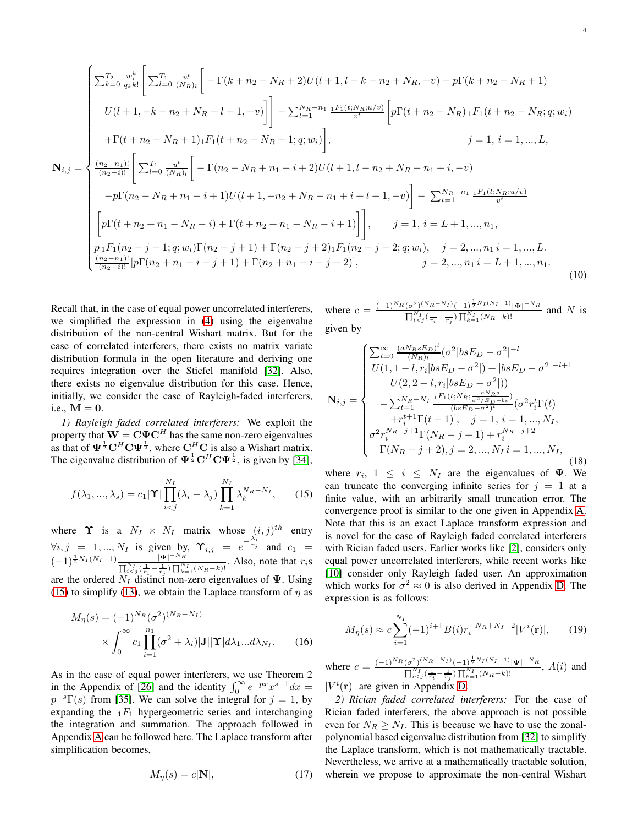<span id="page-3-0"></span>
$$
\mathbf{N}_{i,j} = \begin{cases}\n\sum_{k=0}^{T_2} \frac{w_i^k}{q_k k!} \left[ \sum_{l=0}^{T_1} \frac{u^l}{(N_R)_l} \right] - \Gamma(k + n_2 - N_R + 2)U(l+1, l-k - n_2 + N_R, -v) - p\Gamma(k + n_2 - N_R + 1) \\
U(l+1, -k - n_2 + N_R + l + 1, -v) \right] - \sum_{t=1}^{N_R - n_1} \frac{1F_1(t; N_R; u/v)}{v^t} \left[ p\Gamma(t + n_2 - N_R) \right] F_1(t + n_2 - N_R; q; w_i) \\
+ \Gamma(t + n_2 - N_R + 1) \cdot F_1(t + n_2 - N_R + 1; q; w_i) \right], \qquad j = 1, i = 1, ..., L, \\
\frac{(n_2 - n_1)!}{(n_2 - i)!} \left[ \sum_{l=0}^{T_1} \frac{u^l}{(N_R)_l} \right] - \Gamma(n_2 - N_R + n_1 - i + 2)U(l+1, l - n_2 + N_R - n_1 + i, -v) \\
-p\Gamma(n_2 - N_R + n_1 - i + 1)U(l+1, -n_2 + N_R - n_1 + i + l + 1, -v) \right] - \sum_{t=1}^{N_R - n_1} \frac{1F_1(t; N_R; u/v)}{v^t} \\
\left[ p\Gamma(t + n_2 + n_1 - N_R - i) + \Gamma(t + n_2 + n_1 - N_R - i + 1) \right], \qquad j = 1, i = L + 1, ..., n_1, \\
p_1 F_1(n_2 - j + 1; q; w_i) \Gamma(n_2 - j + 1) + \Gamma(n_2 - j + 2) \cdot F_1(n_2 - j + 2; q; w_i), \quad j = 2, ..., n_1 i = 1, ..., L, \\
\frac{(n_2 - n_1)!}{(n_2 - i)!} [p\Gamma(n_2 + n_1 - i - j + 1) + \Gamma(n_2 + n_1 - i - j + 2)], \end{cases} \tag{10}
$$

Recall that, in the case of equal power uncorrelated interferers, we simplified the expression in [\(4\)](#page-1-1) using the eigenvalue distribution of the non-central Wishart matrix. But for the case of correlated interferers, there exists no matrix variate distribution formula in the open literature and deriving one requires integration over the Stiefel manifold [\[32\]](#page-14-13). Also, there exists no eigenvalue distribution for this case. Hence, initially, we consider the case of Rayleigh-faded interferers, i.e.,  $M = 0$ .

*1) Rayleigh faded correlated interferers:* We exploit the property that  $\mathbf{W} = \mathbf{C} \boldsymbol{\Psi} \mathbf{C}^H$  has the same non-zero eigenvalues as that of  $\Psi^{\frac{1}{2}} C^H C \Psi^{\frac{1}{2}}$ , where  $C^H C$  is also a Wishart matrix. The eigenvalue distribution of  $\Psi^{\frac{1}{2}} C^H C \Psi^{\frac{1}{2}}$ , is given by [\[34\]](#page-14-15),

<span id="page-3-1"></span>
$$
f(\lambda_1, ..., \lambda_s) = c_1 |\mathbf{\Upsilon}| \prod_{i < j}^{N_I} (\lambda_i - \lambda_j) \prod_{k=1}^{N_I} \lambda_k^{N_R - N_I}, \qquad (15)
$$

where  $\Upsilon$  is a  $N_I \times N_I$  matrix whose  $(i, j)^{th}$  entry  $\forall i, j = 1, ..., N_I$  is given by,  $\Upsilon_{i,j} = e^{-\frac{\lambda_i^2}{r_j}}$  and  $c_1 =$  $(-1)^{\frac{1}{2}N_I(N_I-1)} \frac{|\Psi|^{-N_R}}{\prod_{i=1}^{N_I}(\frac{1}{1-\frac{1}{2}})\prod_{i=1}^{N_R}}$  $\frac{|\Psi|}{\prod_{i. Also, note that  $r_i$ s$ are the ordered  $N_I$  distinct non-zero eigenvalues of  $\Psi$ . Using [\(15\)](#page-3-1) to simplify [\(13\)](#page-2-0), we obtain the Laplace transform of  $\eta$  as

$$
M_{\eta}(s) = (-1)^{N_R} (\sigma^2)^{(N_R - N_I)}
$$

$$
\times \int_0^\infty c_1 \prod_{i=1}^{n_1} (\sigma^2 + \lambda_i) |\mathbf{J}| |\mathbf{\Upsilon}| d\lambda_1 ... d\lambda_{N_I}.
$$
 (16)

As in the case of equal power interferers, we use Theorem 2 in the Appendix of [\[26\]](#page-14-10) and the identity  $\int_0^\infty e^{-px} x^{s-1} dx =$  $p^{-s}\Gamma(s)$  from [\[35\]](#page-14-16). We can solve the integral for  $j = 1$ , by expanding the  $1F_1$  hypergeometric series and interchanging the integration and summation. The approach followed in Appendix [A](#page-11-0) can be followed here. The Laplace transform after simplification becomes,

<span id="page-3-2"></span>
$$
M_{\eta}(s) = c|\mathbf{N}|,\tag{17}
$$

where 
$$
c = \frac{(-1)^{N_R} (\sigma^2)^{(N_R - N_I)} (-1)^{\frac{1}{2} N_I (N_I - 1)} |\Psi|^{-N_R}}{\prod_{i < j}^{N_I} (\frac{1}{r_i} - \frac{1}{r_j}) \prod_{k=1}^{N_I} (N_R - k)!}
$$
 and N is given by

<span id="page-3-4"></span>
$$
\mathbf{N}_{i,j} = \begin{cases}\n\sum_{l=0}^{\infty} \frac{(aN_R s E_D)^l}{(N_R)_l} (\sigma^2 | b s E_D - \sigma^2 |^{-l} \\
U(1, 1 - l, r_i | b s E_D - \sigma^2 |) + | b s E_D - \sigma^2 |^{-l+1} \\
U(2, 2 - l, r_i | b s E_D - \sigma^2 |)) \\
-\sum_{t=1}^{N_R - N_I} \frac{{}_1F_1(t; N_R; \frac{aN_R s}{\sigma^2 / E_D - b s})}{(b s E_D - \sigma^2)^t} (\sigma^2 r_i^t \Gamma(t) \\
+r_i^{t+1} \Gamma(t+1)], \quad j = 1, i = 1, ..., N_I, \\
\sigma^2 r_i^{N_R - j+1} \Gamma(N_R - j + 1) + r_i^{N_R - j+2} \\
\Gamma(N_R - j + 2), j = 2, ..., N_I, i = 1, ..., N_I,\n\end{cases}
$$
\n(18)

where  $r_i$ ,  $1 \leq i \leq N_I$  are the eigenvalues of  $\Psi$ . We can truncate the converging infinite series for  $j = 1$  at a finite value, with an arbitrarily small truncation error. The convergence proof is similar to the one given in Appendix [A.](#page-11-0) Note that this is an exact Laplace transform expression and is novel for the case of Rayleigh faded correlated interferers with Rician faded users. Earlier works like [\[2\]](#page-13-1), considers only equal power uncorrelated interferers, while recent works like [\[10\]](#page-13-3) consider only Rayleigh faded user. An approximation which works for  $\sigma^2 \approx 0$  is also derived in Appendix [D.](#page-13-4) The expression is as follows:

<span id="page-3-3"></span>
$$
M_{\eta}(s) \approx c \sum_{i=1}^{N_I} (-1)^{i+1} B(i) r_i^{-N_R + N_I - 2} |V^i(\mathbf{r})|, \qquad (19)
$$

where 
$$
c = \frac{(-1)^{N_R} (\sigma^2)^{(N_R - N_I)} (-1)^{\frac{1}{2} N_I (N_I - 1)} |\Psi|^{-N_R}}{\prod_{i < j}^{N_I} (\frac{1}{N_i} - \frac{1}{r_j}) \prod_{k=1}^{N_I} (N_R - k)!}
$$
,  $A(i)$  and  $|V^i(\mathbf{r})|$  are given in Appendix D

 $|V^i(\mathbf{r})|$  are given in Appendix [D.](#page-13-4)

*2) Rician faded correlated interferers:* For the case of Rician faded interferers, the above approach is not possible even for  $N_R \geq N_I$ . This is because we have to use the zonalpolynomial based eigenvalue distribution from [\[32\]](#page-14-13) to simplify the Laplace transform, which is not mathematically tractable. Nevertheless, we arrive at a mathematically tractable solution, wherein we propose to approximate the non-central Wishart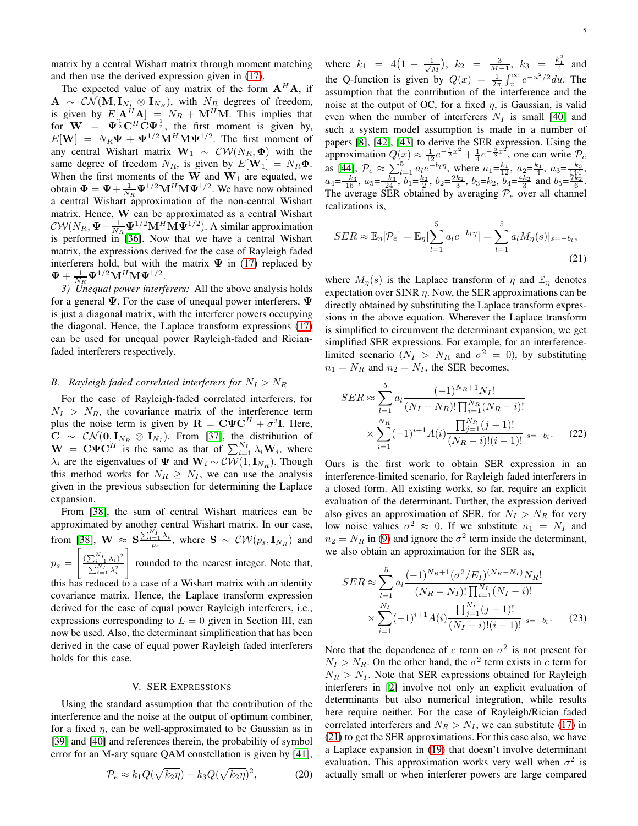matrix by a central Wishart matrix through moment matching and then use the derived expression given in [\(17\)](#page-3-2).

The expected value of any matrix of the form  $A<sup>H</sup>A$ , if  $A \sim \mathcal{CN}(\mathbf{M}, \mathbf{I}_{N_I} \otimes \mathbf{I}_{N_R})$ , with  $N_R$  degrees of freedom, is given by  $E[\mathbf{A}^H \mathbf{A}] = N_R + \mathbf{M}^H \mathbf{M}$ . This implies that for  $\mathbf{W} = \mathbf{\Psi}^{\frac{1}{2}} \mathbf{C}^H \dot{\mathbf{C}} \mathbf{\Psi}^{\frac{1}{2}}$ , the first moment is given by,  $E[\mathbf{W}] = N_R \Psi + \Psi^{1/2} \mathbf{M}^H \mathbf{M} \Psi^{1/2}$ . The first moment of any central Wishart matrix  $\mathbf{W}_1 \sim \mathcal{CW}(N_R, \Phi)$  with the same degree of freedom  $N_R$ , is given by  $E[\mathbf{W}_1] = N_R \Phi$ . When the first moments of the W and  $W_1$  are equated, we obtain  $\mathbf{\Phi} = \mathbf{\Psi} + \frac{1}{N_R} \mathbf{\Psi}^{1/2} \mathbf{M}^H \mathbf{M} \mathbf{\Psi}^{1/2}$ . We have now obtained a central Wishart approximation of the non-central Wishart matrix. Hence, W can be approximated as a central Wishart  $\mathcal{CW}(N_R, \Psi + \frac{1}{N_R} \Psi^{1/2} \mathbf{M}^H \mathbf{M} \Psi^{1/2})$ . A similar approximation is performed in  $[36]$ . Now that we have a central Wishart matrix, the expressions derived for the case of Rayleigh faded interferers hold, but with the matrix  $\Psi$  in [\(17\)](#page-3-2) replaced by  $\mathbf{\Psi} + \frac{1}{N_R} \mathbf{\Psi}^{1/2} \mathbf{M}^H \mathbf{M} \mathbf{\Psi}^{1/2}.$ 

*3) Unequal power interferers:* All the above analysis holds for a general  $\Psi$ . For the case of unequal power interferers,  $\Psi$ is just a diagonal matrix, with the interferer powers occupying the diagonal. Hence, the Laplace transform expressions [\(17\)](#page-3-2) can be used for unequal power Rayleigh-faded and Ricianfaded interferers respectively.

## *B.* Rayleigh faded correlated interferers for  $N_I > N_R$

For the case of Rayleigh-faded correlated interferers, for  $N_I > N_R$ , the covariance matrix of the interference term plus the noise term is given by  $\mathbf{R} = \mathbf{C} \boldsymbol{\Psi} \mathbf{C}^H + \sigma^2 \mathbf{I}$ . Here,  $\mathbf{C} \sim \mathcal{CN}(\mathbf{0}, \mathbf{I}_{N_R} \otimes \mathbf{I}_{N_I}).$  From [\[37\]](#page-14-18), the distribution of  $\mathbf{W} = \mathbf{C} \mathbf{\Psi} \mathbf{C}^H$  is the same as that of  $\sum_{i=1}^{N_I} \lambda_i \mathbf{W}_i$ , where  $\lambda_i$  are the eigenvalues of  $\Psi$  and  $\mathbf{W}_i \sim \mathcal{CW}(1, \mathbf{I}_{N_R})$ . Though this method works for  $N_R \geq N_I$ , we can use the analysis given in the previous subsection for determining the Laplace expansion.

From [\[38\]](#page-14-19), the sum of central Wishart matrices can be approximated by another central Wishart matrix. In our case, from [\[38\]](#page-14-19),  $\mathbf{W} \approx \mathbf{S} \frac{\sum_{i=1}^{N_I} \lambda_i}{p_s}$ , where  $\mathbf{S} \sim \mathcal{CW}(p_s, \mathbf{I}_{N_R})$  and  $p_s =$  $\left[\frac{\left(\sum_{i=1}^{N_I} \lambda_i\right)^2}{\sum_{i=1}^{N_I} \lambda_i} \right]$  $\sum_{i=1}^{N_{I}}\lambda_{i}^{2}$ 1 rounded to the nearest integer. Note that, this has reduced to a case of a Wishart matrix with an identity covariance matrix. Hence, the Laplace transform expression derived for the case of equal power Rayleigh interferers, i.e., expressions corresponding to  $L = 0$  given in Section III, can now be used. Also, the determinant simplification that has been

#### V. SER EXPRESSIONS

derived in the case of equal power Rayleigh faded interferers

holds for this case.

Using the standard assumption that the contribution of the interference and the noise at the output of optimum combiner, for a fixed  $\eta$ , can be well-approximated to be Gaussian as in [\[39\]](#page-14-20) and [\[40\]](#page-14-21) and references therein, the probability of symbol error for an M-ary square QAM constellation is given by [\[41\]](#page-14-22),

<span id="page-4-1"></span>
$$
\mathcal{P}_e \approx k_1 Q(\sqrt{k_2 \eta}) - k_3 Q(\sqrt{k_2 \eta})^2, \tag{20}
$$

where  $k_1 = 4(1 - \frac{1}{\sqrt{l}})$  $\frac{1}{M}$ ),  $k_2 = \frac{3}{M-1}$ ,  $k_3 = \frac{k_1^2}{4}$  and the Q-function is given by  $Q(x) = \frac{1}{2\pi} \int_x^{\infty} e^{-u^2/2} du$ . The assumption that the contribution of the interference and the noise at the output of OC, for a fixed  $\eta$ , is Gaussian, is valid even when the number of interferers  $N_I$  is small [\[40\]](#page-14-21) and such a system model assumption is made in a number of papers [\[8\]](#page-13-2), [\[42\]](#page-14-23), [\[43\]](#page-14-24) to derive the SER expression. Using the approximation  $Q(x) \approx \frac{1}{12}e^{-\frac{1}{2}x^2} + \frac{1}{4}e^{-\frac{2}{3}x^2}$ , one can write  $P_e$ as [\[44\]](#page-14-25),  $\mathcal{P}_e \approx \sum_{l=1}^5 a_l e^{-b_l \eta}$ , where  $a_1 = \frac{k_1}{12}$ ,  $a_2 = \frac{k_1}{4}$ ,  $a_3 = \frac{-k_3}{144}$ ,  $a_4 = \frac{-k_3}{16}, a_5 = \frac{-k_3}{24}, b_1 = \frac{k_2}{2}, b_2 = \frac{2k_2}{3}, b_3 = k_2, b_4 = \frac{4k_2}{3}$  and  $b_5 = \frac{7k_2}{6}$ . The average SER obtained by averaging  $\mathcal{P}_e$  over all channel realizations is,

<span id="page-4-0"></span>
$$
SER \approx \mathbb{E}_{\eta}[\mathcal{P}_e] = \mathbb{E}_{\eta}[\sum_{l=1}^{5} a_l e^{-b_l \eta}] = \sum_{l=1}^{5} a_l M_{\eta}(s)|_{s=-b_l},
$$
\n(21)

where  $M_n(s)$  is the Laplace transform of  $\eta$  and  $\mathbb{E}_n$  denotes expectation over SINR  $\eta$ . Now, the SER approximations can be directly obtained by substituting the Laplace transform expressions in the above equation. Wherever the Laplace transform is simplified to circumvent the determinant expansion, we get simplified SER expressions. For example, for an interferencelimited scenario ( $N_I > N_R$  and  $\sigma^2 = 0$ ), by substituting  $n_1 = N_R$  and  $n_2 = N_I$ , the SER becomes,

$$
SER \approx \sum_{l=1}^{5} a_l \frac{(-1)^{N_R+1} N_I!}{(N_I - N_R)! \prod_{i=1}^{N_R} (N_R - i)!} \times \sum_{i=1}^{N_R} (-1)^{i+1} A(i) \frac{\prod_{j=1}^{N_R} (j-1)!}{(N_R - i)!(i-1)!} |_{s=-b_l}.
$$
 (22)

Ours is the first work to obtain SER expression in an interference-limited scenario, for Rayleigh faded interferers in a closed form. All existing works, so far, require an explicit evaluation of the determinant. Further, the expression derived also gives an approximation of SER, for  $N_I > N_R$  for very low noise values  $\sigma^2 \approx 0$ . If we substitute  $n_1 = N_I$  and  $n_2 = N_R$  in [\(9\)](#page-1-4) and ignore the  $\sigma^2$  term inside the determinant, we also obtain an approximation for the SER as,

<span id="page-4-2"></span>
$$
SER \approx \sum_{l=1}^{5} a_l \frac{(-1)^{N_R+1} (\sigma^2 / E_I)^{(N_R - N_I)} N_R!}{(N_R - N_I)! \prod_{i=1}^{N_I} (N_I - i)!} \times \sum_{i=1}^{N_I} (-1)^{i+1} A(i) \frac{\prod_{j=1}^{N_I} (j-1)!}{(N_I - i)! (i-1)!} |_{s=-b_l}.
$$
 (23)

Note that the dependence of c term on  $\sigma^2$  is not present for  $N_I > N_R$ . On the other hand, the  $\sigma^2$  term exists in c term for  $N_R > N_I$ . Note that SER expressions obtained for Rayleigh interferers in [\[2\]](#page-13-1) involve not only an explicit evaluation of determinants but also numerical integration, while results here require neither. For the case of Rayleigh/Rician faded correlated interferers and  $N_R > N_I$ , we can substitute [\(17\)](#page-3-2) in [\(21\)](#page-4-0) to get the SER approximations. For this case also, we have a Laplace expansion in [\(19\)](#page-3-3) that doesn't involve determinant evaluation. This approximation works very well when  $\sigma^2$  is actually small or when interferer powers are large compared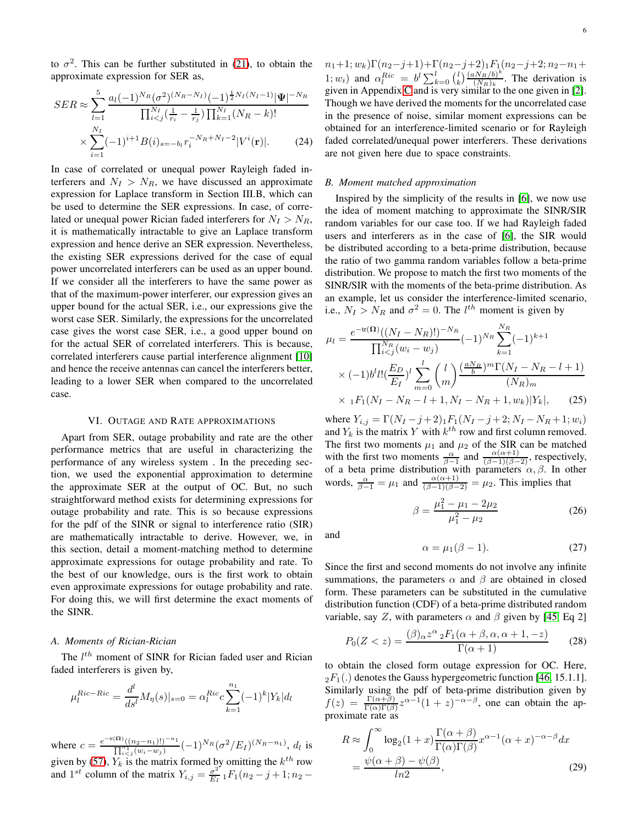to  $\sigma^2$ . This can be further substituted in [\(21\)](#page-4-0), to obtain the approximate expression for SER as,

$$
SER \approx \sum_{l=1}^{5} \frac{a_l (-1)^{N_R} (\sigma^2)^{(N_R - N_I)} (-1)^{\frac{1}{2} N_I (N_I - 1)} |\Psi|^{-N_R}}{\prod_{i < j}^{N_I} (\frac{1}{r_i} - \frac{1}{r_j}) \prod_{k=1}^{N_I} (N_R - k)!} \times \sum_{i=1}^{N_I} (-1)^{i+1} B(i)_{s = -b_l} r_i^{-N_R + N_I - 2} |V^i(\mathbf{r})|.
$$
 (24)

In case of correlated or unequal power Rayleigh faded interferers and  $N_I > N_R$ , we have discussed an approximate expression for Laplace transform in Section III.B, which can be used to determine the SER expressions. In case, of correlated or unequal power Rician faded interferers for  $N_I > N_R$ , it is mathematically intractable to give an Laplace transform expression and hence derive an SER expression. Nevertheless, the existing SER expressions derived for the case of equal power uncorrelated interferers can be used as an upper bound. If we consider all the interferers to have the same power as that of the maximum-power interferer, our expression gives an upper bound for the actual SER, i.e., our expressions give the worst case SER. Similarly, the expressions for the uncorrelated case gives the worst case SER, i.e., a good upper bound on for the actual SER of correlated interferers. This is because, correlated interferers cause partial interference alignment [\[10\]](#page-13-3) and hence the receive antennas can cancel the interferers better, leading to a lower SER when compared to the uncorrelated case.

#### VI. OUTAGE AND RATE APPROXIMATIONS

Apart from SER, outage probability and rate are the other performance metrics that are useful in characterizing the performance of any wireless system . In the preceding section, we used the exponential approximation to determine the approximate SER at the output of OC. But, no such straightforward method exists for determining expressions for outage probability and rate. This is so because expressions for the pdf of the SINR or signal to interference ratio (SIR) are mathematically intractable to derive. However, we, in this section, detail a moment-matching method to determine approximate expressions for outage probability and rate. To the best of our knowledge, ours is the first work to obtain even approximate expressions for outage probability and rate. For doing this, we will first determine the exact moments of the SINR.

## *A. Moments of Rician-Rician*

The  $l^{th}$  moment of SINR for Rician faded user and Rician faded interferers is given by,

$$
\mu_l^{Ric-Ric} = \frac{d^l}{ds^l} M_{\eta}(s)|_{s=0} = \alpha_l^{Ric} c \sum_{k=1}^{n_1} (-1)^k |Y_k| d_l
$$

where  $c = \frac{e^{-w(\Omega)}((n_2 - n_1)!)^{-n_1}}{\prod_{i=1}^{n_1} (w_i - w_j)} (-1)^{N_R} (\sigma^2 / E_I)^{(N_R - n_1)}$ ,  $d_l$  is given by [\(57\)](#page-13-5),  $Y_k$  is the matrix formed by omitting the  $k^{th}$  row and 1<sup>st</sup> column of the matrix  $Y_{i,j} = \frac{\sigma^2}{E_i}$  $\frac{\sigma^2}{E_I}$ <sub>1</sub> $F_1(n_2-j+1; n_2-$   $n_1+1; w_k)\Gamma(n_2-j+1)+\Gamma(n_2-j+2)$ <sup>1</sup> $F_1(n_2-j+2; n_2-n_1+$ 1;  $w_i$ ) and  $\alpha_l^{Ric} = b^l \sum_{k=0}^l {l \choose k} \frac{(aN_R/b)^k}{(N_R)_k}$  $\frac{\ln(R/D)}{(N_R)_k}$ . The derivation is given in Appendix [C](#page-13-6) and is very similar to the one given in [\[2\]](#page-13-1). Though we have derived the moments for the uncorrelated case in the presence of noise, similar moment expressions can be obtained for an interference-limited scenario or for Rayleigh faded correlated/unequal power interferers. These derivations are not given here due to space constraints.

# <span id="page-5-1"></span>*B. Moment matched approximation*

Inspired by the simplicity of the results in [\[6\]](#page-13-7), we now use the idea of moment matching to approximate the SINR/SIR random variables for our case too. If we had Rayleigh faded users and interferers as in the case of [\[6\]](#page-13-7), the SIR would be distributed according to a beta-prime distribution, because the ratio of two gamma random variables follow a beta-prime distribution. We propose to match the first two moments of the SINR/SIR with the moments of the beta-prime distribution. As an example, let us consider the interference-limited scenario, i.e.,  $N_I > N_R$  and  $\sigma^2 = 0$ . The  $l^{th}$  moment is given by

$$
\mu_l = \frac{e^{-\text{tr}(\Omega)}((N_I - N_R)!)^{-N_R}}{\prod_{i < j}^{N_R} (w_i - w_j)} (-1)^{N_R} \sum_{k=1}^{N_R} (-1)^{k+1} \times (-1)^{b'l!} \left(\frac{E_D}{E_I}\right)^l \sum_{m=0}^l {l \choose m} \frac{(\frac{aN_R}{b})^m \Gamma(N_I - N_R - l + 1)}{(N_R)_m} \times {}_1F_1(N_I - N_R - l + 1, N_I - N_R + 1, w_k)|Y_k|, \tag{25}
$$

where  $Y_{i,j} = \Gamma(N_I - j + 2)_1 F_1(N_I - j + 2; N_I - N_R + 1; w_i)$ and  $Y_k$  is the matrix Y with  $k^{th}$  row and first column removed. The first two moments  $\mu_1$  and  $\mu_2$  of the SIR can be matched with the first two moments  $\frac{\alpha}{\beta-1}$  and  $\frac{\alpha(\alpha+1)}{(\beta-1)(\beta-2)}$ , respectively, of a beta prime distribution with parameters  $\alpha, \beta$ . In other words,  $\frac{\alpha}{\beta - 1} = \mu_1$  and  $\frac{\alpha(\alpha + 1)}{(\beta - 1)(\beta - 2)} = \mu_2$ . This implies that

$$
\beta = \frac{\mu_1^2 - \mu_1 - 2\mu_2}{\mu_1^2 - \mu_2} \tag{26}
$$

and

<span id="page-5-0"></span>
$$
\alpha = \mu_1(\beta - 1). \tag{27}
$$

Since the first and second moments do not involve any infinite summations, the parameters  $\alpha$  and  $\beta$  are obtained in closed form. These parameters can be substituted in the cumulative distribution function (CDF) of a beta-prime distributed random variable, say Z, with parameters  $\alpha$  and  $\beta$  given by [\[45,](#page-14-26) Eq 2]

$$
P_0(Z < z) = \frac{(\beta)_{\alpha} z^{\alpha} {}_2F_1(\alpha + \beta, \alpha, \alpha + 1, -z)}{\Gamma(\alpha + 1)}\tag{28}
$$

to obtain the closed form outage expression for OC. Here,  $2F_1(.)$  denotes the Gauss hypergeometric function [\[46,](#page-14-27) 15.1.1]. Similarly using the pdf of beta-prime distribution given by  $f(z) = \frac{\Gamma(\alpha+\beta)}{\Gamma(\alpha)\Gamma(\beta)} z^{\alpha-1} (1+z)^{-\alpha-\beta}$ , one can obtain the approximate rate as

<span id="page-5-2"></span>
$$
R \approx \int_0^\infty \log_2(1+x) \frac{\Gamma(\alpha+\beta)}{\Gamma(\alpha)\Gamma(\beta)} x^{\alpha-1} (\alpha+x)^{-\alpha-\beta} dx
$$
  
= 
$$
\frac{\psi(\alpha+\beta) - \psi(\beta)}{\ln 2},
$$
 (29)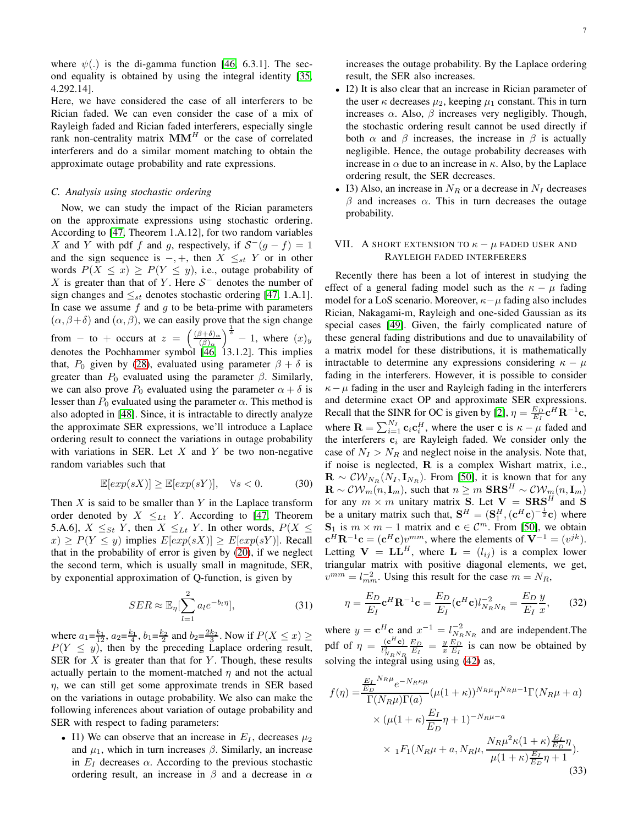where  $\psi(.)$  is the di-gamma function [\[46,](#page-14-27) 6.3.1]. The second equality is obtained by using the integral identity [\[35,](#page-14-16) 4.292.14].

Here, we have considered the case of all interferers to be Rician faded. We can even consider the case of a mix of Rayleigh faded and Rician faded interferers, especially single rank non-centrality matrix  $MM<sup>H</sup>$  or the case of correlated interferers and do a similar moment matching to obtain the approximate outage probability and rate expressions.

#### *C. Analysis using stochastic ordering*

Now, we can study the impact of the Rician parameters on the approximate expressions using stochastic ordering. According to [\[47,](#page-14-28) Theorem 1.A.12], for two random variables X and Y with pdf f and g, respectively, if  $S^-(g - f) = 1$ and the sign sequence is  $-, +$ , then  $X \leq_{st} Y$  or in other words  $P(X \le x) \ge P(Y \le y)$ , i.e., outage probability of X is greater than that of Y. Here  $S^-$  denotes the number of sign changes and  $\leq_{st}$  denotes stochastic ordering [\[47,](#page-14-28) 1.A.1]. In case we assume  $f$  and  $g$  to be beta-prime with parameters  $(\alpha, \beta + \delta)$  and  $(\alpha, \beta)$ , we can easily prove that the sign change from – to + occurs at  $z = \left(\frac{(\beta + \delta)_{\alpha}}{(\beta)_{\alpha}}\right)$  $\left(\frac{\partial^2 + \delta}{\partial x}\right)^{\frac{1}{\delta}} - 1$ , where  $(x)_y$ denotes the Pochhammer symbol [\[46,](#page-14-27) 13.1.2]. This implies that,  $P_0$  given by [\(28\)](#page-5-0), evaluated using parameter  $\beta + \delta$  is greater than  $P_0$  evaluated using the parameter  $\beta$ . Similarly, we can also prove  $P_0$  evaluated using the parameter  $\alpha + \delta$  is lesser than  $P_0$  evaluated using the parameter  $\alpha$ . This method is also adopted in [\[48\]](#page-14-29). Since, it is intractable to directly analyze the approximate SER expressions, we'll introduce a Laplace ordering result to connect the variations in outage probability with variations in SER. Let  $X$  and  $Y$  be two non-negative random variables such that

$$
\mathbb{E}[exp(sX)] \ge \mathbb{E}[exp(sY)], \quad \forall s < 0.
$$
 (30)

Then  $X$  is said to be smaller than  $Y$  in the Laplace transform order denoted by  $X \leq_{Lt} Y$ . According to [\[47,](#page-14-28) Theorem 5.A.6],  $X \leq_{St} Y$ , then  $X \leq_{Lt} Y$ . In other words,  $P(X \leq$  $x) \geq P(Y \leq y)$  implies  $E[exp(sX)] \geq E[exp(sY)]$ . Recall that in the probability of error is given by [\(20\)](#page-4-1), if we neglect the second term, which is usually small in magnitude, SER, by exponential approximation of Q-function, is given by

$$
SER \approx \mathbb{E}_{\eta}[\sum_{l=1}^{2} a_{l}e^{-b_{l}\eta}], \qquad (31)
$$

where  $a_1 = \frac{k_1}{12}$ ,  $a_2 = \frac{k_1}{4}$ ,  $b_1 = \frac{k_2}{2}$  and  $b_2 = \frac{2k_2}{3}$ . Now if  $P(X \le x) \ge$  $P(Y \leq y)$ , then by the preceding Laplace ordering result, SER for  $X$  is greater than that for  $Y$ . Though, these results actually pertain to the moment-matched  $\eta$  and not the actual  $\eta$ , we can still get some approximate trends in SER based on the variations in outage probability. We also can make the following inferences about variation of outage probability and SER with respect to fading parameters:

• I1) We can observe that an increase in  $E_I$ , decreases  $\mu_2$ and  $\mu_1$ , which in turn increases  $\beta$ . Similarly, an increase in  $E_I$  decreases  $\alpha$ . According to the previous stochastic ordering result, an increase in  $\beta$  and a decrease in  $\alpha$ 

increases the outage probability. By the Laplace ordering result, the SER also increases.

- I2) It is also clear that an increase in Rician parameter of the user  $\kappa$  decreases  $\mu_2$ , keeping  $\mu_1$  constant. This in turn increases  $\alpha$ . Also,  $\beta$  increases very negligibly. Though, the stochastic ordering result cannot be used directly if both  $\alpha$  and  $\beta$  increases, the increase in  $\beta$  is actually negligible. Hence, the outage probability decreases with increase in  $\alpha$  due to an increase in  $\kappa$ . Also, by the Laplace ordering result, the SER decreases.
- I3) Also, an increase in  $N_R$  or a decrease in  $N_I$  decreases  $β$  and increases  $α$ . This in turn decreases the outage probability.

# VII. A SHORT EXTENSION TO  $\kappa - \mu$  faded user and RAYLEIGH FADED INTERFERERS

Recently there has been a lot of interest in studying the effect of a general fading model such as the  $\kappa - \mu$  fading model for a LoS scenario. Moreover,  $\kappa-\mu$  fading also includes Rician, Nakagami-m, Rayleigh and one-sided Gaussian as its special cases [\[49\]](#page-14-30). Given, the fairly complicated nature of these general fading distributions and due to unavailability of a matrix model for these distributions, it is mathematically intractable to determine any expressions considering  $\kappa - \mu$ fading in the interferers. However, it is possible to consider  $\kappa-\mu$  fading in the user and Rayleigh fading in the interferers and determine exact OP and approximate SER expressions. Recall that the SINR for OC is given by [\[2\]](#page-13-1),  $\eta = \frac{E_D}{E_I} \mathbf{c}^H \mathbf{R}^{-1} \mathbf{c}$ , where  $\mathbf{R} = \sum_{i=1}^{N_I} \mathbf{c}_i \mathbf{c}_i^H$ , where the user c is  $\kappa - \mu$  faded and the interferers  $c_i$  are Rayleigh faded. We consider only the case of  $N_I > N_R$  and neglect noise in the analysis. Note that, if noise is neglected,  $\bf{R}$  is a complex Wishart matrix, i.e.,  $\mathbf{R} \sim \mathcal{CW}_{N_R}(N_I, \mathbf{I}_{N_R})$ . From [\[50\]](#page-14-31), it is known that for any  $\mathbf{R} \sim \mathcal{CW}_m(n, \mathbf{I}_m)$ , such that  $n \geq m \mathbf{S} \mathbf{R} \mathbf{S}^H \sim \mathcal{CW}_m(n, \mathbf{I}_m)$ for any  $m \times m$  unitary matrix **S**. Let  $V = \textbf{SRS}^H$  and **S** be a unitary matrix such that,  $S^H = (S_1^H, (c^Hc)^{-\frac{1}{2}}c)$  where  $S_1$  is  $m \times m - 1$  matrix and  $c \in \mathcal{C}^m$ . From [\[50\]](#page-14-31), we obtain  ${\bf c}^H {\bf R}^{-1} {\bf c} = ({\bf c}^H {\bf c}) v^{mm}$ , where the elements of  ${\bf V}^{-1} = (v^{jk})$ . Letting  $V = LL^H$ , where  $L = (l_{ij})$  is a complex lower triangular matrix with positive diagonal elements, we get,  $v^{mm} = l_{mm}^{-2}$ . Using this result for the case  $m = N_R$ ,

$$
\eta = \frac{E_D}{E_I} \mathbf{c}^H \mathbf{R}^{-1} \mathbf{c} = \frac{E_D}{E_I} (\mathbf{c}^H \mathbf{c}) l_{N_R N_R}^{-2} = \frac{E_D}{E_I} \frac{y}{x},\qquad(32)
$$

where  $y = e^H c$  and  $x^{-1} = l_{N_R N_R}^{-2}$  and are independent. The pdf of  $\eta = \frac{(\mathbf{c}^H \mathbf{c})}{l^2}$  $l_{N_R N_R}^2$  $\frac{E_D}{E_I} = \frac{y}{x} \frac{E_D}{E_I}$  is can now be obtained by solving the integral using using [\(42\)](#page-11-1) as,

<span id="page-6-0"></span>
$$
f(\eta) = \frac{\frac{E_L}{E_D}^{N_R \mu} e^{-N_R \kappa \mu}}{\Gamma(N_R \mu) \Gamma(a)} (\mu (1 + \kappa))^{N_R \mu} \eta^{N_R \mu - 1} \Gamma(N_R \mu + a)
$$
  
 
$$
\times (\mu (1 + \kappa) \frac{E_I}{E_D} \eta + 1)^{-N_R \mu - a}
$$
  
 
$$
\times {}_1F_1(N_R \mu + a, N_R \mu, \frac{N_R \mu^2 \kappa (1 + \kappa) \frac{E_I}{E_D} \eta}{\mu (1 + \kappa) \frac{E_I}{E_D} \eta + 1}).
$$
(33)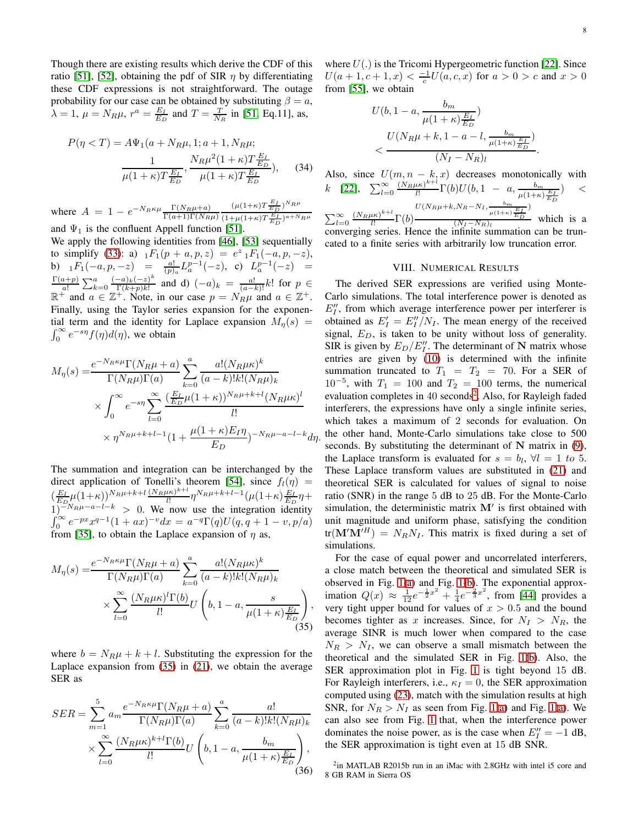.

Though there are existing results which derive the CDF of this ratio [\[51\]](#page-14-32), [\[52\]](#page-14-33), obtaining the pdf of SIR  $\eta$  by differentiating these CDF expressions is not straightforward. The outage probability for our case can be obtained by substituting  $\beta = a$ ,  $\lambda = 1, \mu = N_R \mu, r^a = \frac{E_I}{E_D}$  and  $T = \frac{T}{N_R}$  in [\[51,](#page-14-32) Eq.11], as,

$$
P(\eta < T) = A\Psi_1(a + N_R\mu, 1; a + 1, N_R\mu; \\
\frac{1}{\mu(1 + \kappa)T\frac{E_I}{E_D}}, \frac{N_R\mu^2(1 + \kappa)T\frac{E_I}{E_D}}{\mu(1 + \kappa)T\frac{E_I}{E_D}}), \quad (34)
$$

where  $A = 1 - e^{-N_R \kappa \mu} \frac{\Gamma(N_R \mu + a)}{\Gamma(a+1) \Gamma(N_R \mu)}$  $(\mu(1+\kappa)T\frac{E_I}{E_D})^{N_R\mu}$  $\frac{(1+\mu(1+\kappa)T\frac{E_I}{E_D})^{a+N_R\mu}}{E}$ and  $\Psi_1$  is the confluent Appell function [\[51\]](#page-14-32).

We apply the following identities from [\[46\]](#page-14-27), [\[53\]](#page-14-34) sequentially to simplify [\(33\)](#page-6-0): a)  $_1F_1(p + a, p, z) = e^z {}_1F_1(-a, p, -z)$ , b)  ${}_1F_1(-a, p, -z) = \frac{a!}{(p)_a} L_a^{p-1}(-z)$ , c)  $L_a^{p-1}(-z) = \Gamma(a+p) \sum_a^{(a)} (-a)_k (-z)^k$  and d)  $(a) = \frac{a!}{(a!)^2}$  let  $p \in \mathbb{R}$  $\frac{a+p}{a!} \sum_{k=0}^{a} \frac{(-a)_k (-z)^k}{\Gamma(k+p)k!}$  $\frac{\Gamma(a+p)}{a!} \sum_{k=0}^{a} \frac{(-a)_k (-z)^k}{\Gamma(k+p)k!}$  and d)  $(-a)_k = \frac{a!}{(a-k)!} k!$  for  $p \in \mathbb{R}^+$  and  $a \in \mathbb{Z}^+$ . Note, in our case  $p = N_R \mu$  and  $a \in \mathbb{Z}^+$ . Finally, using the Taylor series expansion for the exponen- $\int_0^\infty e^{-s\eta} f(\eta) d(\eta)$ , we obtain tial term and the identity for Laplace expansion  $M_n(s)$  =

$$
M_{\eta}(s) = \frac{e^{-N_R \kappa \mu} \Gamma(N_R \mu + a)}{\Gamma(N_R \mu) \Gamma(a)} \sum_{k=0}^{a} \frac{a! (N_R \mu \kappa)^k}{(a-k)! k! (N_R \mu)_k}
$$
  
 
$$
\times \int_0^{\infty} e^{-s\eta} \sum_{l=0}^{\infty} \frac{\left(\frac{E_L}{E_D} \mu (1+\kappa)\right)^{N_R \mu + k + l} (N_R \mu \kappa)^l}{l!}
$$
  
 
$$
\times \eta^{N_R \mu + k + l - 1} (1 + \frac{\mu (1+\kappa) E_I \eta}{E_D})^{-N_R \mu - a - l - k} d\eta.
$$

The summation and integration can be interchanged by the direct application of Tonelli's theorem [\[54\]](#page-14-35), since  $f_l(\eta)$  =  $(\frac{E_I}{E_D} \mu (1+\kappa))^{N_R \mu + k + l} \frac{(N_R \mu \kappa)^{k+l}}{l!}$  $\frac{(\mu\kappa)^{\kappa+\iota}}{l!}\eta^{N_R\mu+k+l-1}(\mu(1+\kappa)\frac{E_I}{E_D}\eta+$  $1)^{-N_R\mu-a-l-k}$  > 0. We now use the integration identity  $\int_0^\infty e^{-px} x^{q-1} (1+ax)^{-v} dx = a^{-q} \Gamma(q) U(q, q+1-v, p/a)$ from [\[35\]](#page-14-16), to obtain the Laplace expansion of  $\eta$  as,

$$
M_{\eta}(s) = \frac{e^{-N_R \kappa \mu} \Gamma(N_R \mu + a)}{\Gamma(N_R \mu) \Gamma(a)} \sum_{k=0}^{a} \frac{a! (N_R \mu \kappa)^k}{(a-k)! k! (N_R \mu)_k}
$$

$$
\times \sum_{l=0}^{\infty} \frac{(N_R \mu \kappa)^l \Gamma(b)}{l!} U\left(b, 1 - a, \frac{s}{\mu (1 + \kappa) \frac{E_I}{E_D}}\right),
$$
(35)

where  $b = N_R \mu + k + l$ . Substituting the expression for the Laplace expansion from  $(35)$  in  $(21)$ , we obtain the average SER as

$$
SER = \sum_{m=1}^{5} a_m \frac{e^{-N_R \kappa \mu} \Gamma(N_R \mu + a)}{\Gamma(N_R \mu) \Gamma(a)} \sum_{k=0}^{a} \frac{a!}{(a-k)!k!(N_R \mu)_k}
$$

$$
\times \sum_{l=0}^{\infty} \frac{(N_R \mu \kappa)^{k+l} \Gamma(b)}{l!} U\left(b, 1 - a, \frac{b_m}{\mu(1+\kappa)\frac{E_I}{E_D}}\right),
$$
(36)

where  $U(.)$  is the Tricomi Hypergeometric function [\[22\]](#page-14-36). Since  $U(a + 1, c + 1, x) < \frac{-1}{c}U(a, c, x)$  for  $a > 0 > c$  and  $x > 0$ from [\[55\]](#page-14-37), we obtain

$$
U(b, 1 - a, \frac{b_m}{\mu(1 + \kappa) \frac{E_I}{E_D}})
$$
  

$$
< \frac{U(N_R\mu + k, 1 - a - l, \frac{b_m}{\mu(1 + \kappa) \frac{E_I}{E_D}})}{(N_I - N_R)_l}
$$

<span id="page-7-2"></span>Also, since  $U(m, n - k, x)$  decreases monotonically with k [\[22\]](#page-14-36),  $\sum_{l=0}^{\infty} \frac{(N_R \mu \kappa)^{k+l}}{l!}$  $\frac{d\kappa}{dt} \Gamma(b) U(b, 1 - a, \frac{b_m}{\mu(1+\kappa)\frac{E_I}{E_D}})$  $)$   $<$  $\sum_{l=0}^{\infty} \frac{(N_R \mu \kappa)^{k+l}}{l!}$  $\frac{1}{l!}$   $\Gamma(b)$  $U(N_R\mu+k,N_R-N_I,\frac{b_m}{\mu(1+\kappa)}\frac{E_I}{E_D})$ )  $\frac{(N_I-N_R)_l}{(N_I-N_R)_l}$  which is a

converging series. Hence the infinite summation can be truncated to a finite series with arbitrarily low truncation error.

## VIII. NUMERICAL RESULTS

The derived SER expressions are verified using Monte-Carlo simulations. The total interference power is denoted as  $E''_1$ , from which average interference power per interferer is obtained as  $E'_I = E''_I/N_I$ . The mean energy of the received signal,  $E_D$ , is taken to be unity without loss of generality. SIR is given by  $E_D/E_I^{\prime\prime}$ . The determinant of N matrix whose entries are given by [\(10\)](#page-3-0) is determined with the infinite summation truncated to  $T_1 = T_2 = 70$ . For a SER of  $10^{-5}$ , with  $T_1 = 100$  and  $T_2 = 100$  terms, the numerical evaluation completes in 40 seconds<sup>[2](#page-7-1)</sup>. Also, for Rayleigh faded interferers, the expressions have only a single infinite series, which takes a maximum of 2 seconds for evaluation. On the other hand, Monte-Carlo simulations take close to 500 seconds. By substituting the determinant of  $N$  matrix in  $(9)$ , the Laplace transform is evaluated for  $s = b_l$ ,  $\forall l = 1 \text{ to } 5$ . These Laplace transform values are substituted in [\(21\)](#page-4-0) and theoretical SER is calculated for values of signal to noise ratio (SNR) in the range 5 dB to 25 dB. For the Monte-Carlo simulation, the deterministic matrix  $M'$  is first obtained with unit magnitude and uniform phase, satisfying the condition  $tr(\mathbf{M}'\mathbf{M}'^H) = N_R N_I$ . This matrix is fixed during a set of simulations.

<span id="page-7-0"></span>For the case of equal power and uncorrelated interferers, a close match between the theoretical and simulated SER is observed in Fig. [1\(a\)](#page-8-0) and Fig. [1\(b\)](#page-8-0). The exponential approximation  $Q(x) \approx \frac{1}{12}e^{-\frac{1}{2}x^2} + \frac{1}{4}e^{-\frac{2}{3}x^2}$ , from [\[44\]](#page-14-25) provides a very tight upper bound for values of  $x > 0.5$  and the bound becomes tighter as x increases. Since, for  $N_I > N_R$ , the average SINR is much lower when compared to the case  $N_R > N_I$ , we can observe a small mismatch between the theoretical and the simulated SER in Fig. [1\(b\)](#page-8-0). Also, the SER approximation plot in Fig. [1](#page-8-0) is tight beyond 15 dB. For Rayleigh interferers, i.e.,  $\kappa_I = 0$ , the SER approximation computed using [\(23\)](#page-4-2), match with the simulation results at high SNR, for  $N_R > N_I$  as seen from Fig. [1\(a\)](#page-8-0) and Fig. 1(a). We can also see from Fig. [1](#page-8-0) that, when the interference power dominates the noise power, as is the case when  $E_I'' = -1$  dB, the SER approximation is tight even at 15 dB SNR.

<span id="page-7-3"></span><span id="page-7-1"></span><sup>2</sup>in MATLAB R2015b run in an iMac with 2.8GHz with intel i5 core and 8 GB RAM in Sierra OS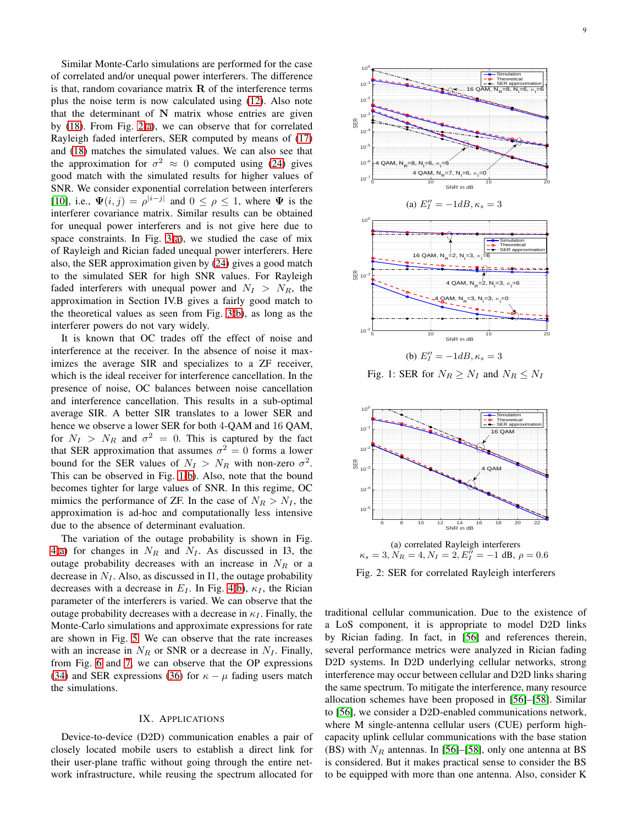Similar Monte-Carlo simulations are performed for the case of correlated and/or unequal power interferers. The difference is that, random covariance matrix  $\bf{R}$  of the interference terms plus the noise term is now calculated using [\(12\)](#page-2-1). Also note that the determinant of  $N$  matrix whose entries are given by [\(18\)](#page-3-4). From Fig. [2\(a\)](#page-8-1), we can observe that for correlated Rayleigh faded interferers, SER computed by means of [\(17\)](#page-3-2) and [\(18\)](#page-3-4) matches the simulated values. We can also see that the approximation for  $\sigma^2 \approx 0$  computed using [\(24\)](#page-5-1) gives good match with the simulated results for higher values of SNR. We consider exponential correlation between interferers [\[10\]](#page-13-3), i.e.,  $\Psi(i, j) = \rho^{|i-j|}$  and  $0 \le \rho \le 1$ , where  $\Psi$  is the interferer covariance matrix. Similar results can be obtained for unequal power interferers and is not give here due to space constraints. In Fig.  $3(a)$ , we studied the case of mix of Rayleigh and Rician faded unequal power interferers. Here also, the SER approximation given by [\(24\)](#page-5-1) gives a good match to the simulated SER for high SNR values. For Rayleigh faded interferers with unequal power and  $N_I > N_R$ , the approximation in Section IV.B gives a fairly good match to the theoretical values as seen from Fig. [3\(b\)](#page-9-0), as long as the interferer powers do not vary widely.

It is known that OC trades off the effect of noise and interference at the receiver. In the absence of noise it maximizes the average SIR and specializes to a ZF receiver, which is the ideal receiver for interference cancellation. In the presence of noise, OC balances between noise cancellation and interference cancellation. This results in a sub-optimal average SIR. A better SIR translates to a lower SER and hence we observe a lower SER for both 4-QAM and 16 QAM, for  $N_I > N_R$  and  $\sigma^2 = 0$ . This is captured by the fact that SER approximation that assumes  $\sigma^2 = 0$  forms a lower bound for the SER values of  $N_I > N_R$  with non-zero  $\sigma^2$ . This can be observed in Fig. [1\(b\)](#page-8-0). Also, note that the bound becomes tighter for large values of SNR. In this regime, OC mimics the performance of ZF. In the case of  $N_R > N_I$ , the approximation is ad-hoc and computationally less intensive due to the absence of determinant evaluation.

The variation of the outage probability is shown in Fig. [4\(a\)](#page-9-1) for changes in  $N_R$  and  $N_I$ . As discussed in I3, the outage probability decreases with an increase in  $N_R$  or a decrease in  $N_I$ . Also, as discussed in I1, the outage probability decreases with a decrease in  $E_I$ . In Fig. [4\(b\)](#page-9-1),  $\kappa_I$ , the Rician parameter of the interferers is varied. We can observe that the outage probability decreases with a decrease in  $\kappa_I$ . Finally, the Monte-Carlo simulations and approximate expressions for rate are shown in Fig. [5.](#page-9-2) We can observe that the rate increases with an increase in  $N_R$  or SNR or a decrease in  $N_I$ . Finally, from Fig. [6](#page-9-3) and [7,](#page-9-4) we can observe that the OP expressions [\(34\)](#page-7-2) and SER expressions [\(36\)](#page-7-3) for  $\kappa - \mu$  fading users match the simulations.

## IX. APPLICATIONS

Device-to-device (D2D) communication enables a pair of closely located mobile users to establish a direct link for their user-plane traffic without going through the entire network infrastructure, while reusing the spectrum allocated for

<span id="page-8-0"></span>

Fig. 1: SER for  $N_R \geq N_I$  and  $N_R \leq N_I$ 

<span id="page-8-1"></span>

Fig. 2: SER for correlated Rayleigh interferers

traditional cellular communication. Due to the existence of a LoS component, it is appropriate to model D2D links by Rician fading. In fact, in [\[56\]](#page-14-38) and references therein, several performance metrics were analyzed in Rician fading D2D systems. In D2D underlying cellular networks, strong interference may occur between cellular and D2D links sharing the same spectrum. To mitigate the interference, many resource allocation schemes have been proposed in [\[56\]](#page-14-38)–[\[58\]](#page-14-39). Similar to [\[56\]](#page-14-38), we consider a D2D-enabled communications network, where M single-antenna cellular users (CUE) perform highcapacity uplink cellular communications with the base station (BS) with  $N_R$  antennas. In [\[56\]](#page-14-38)–[\[58\]](#page-14-39), only one antenna at BS is considered. But it makes practical sense to consider the BS to be equipped with more than one antenna. Also, consider K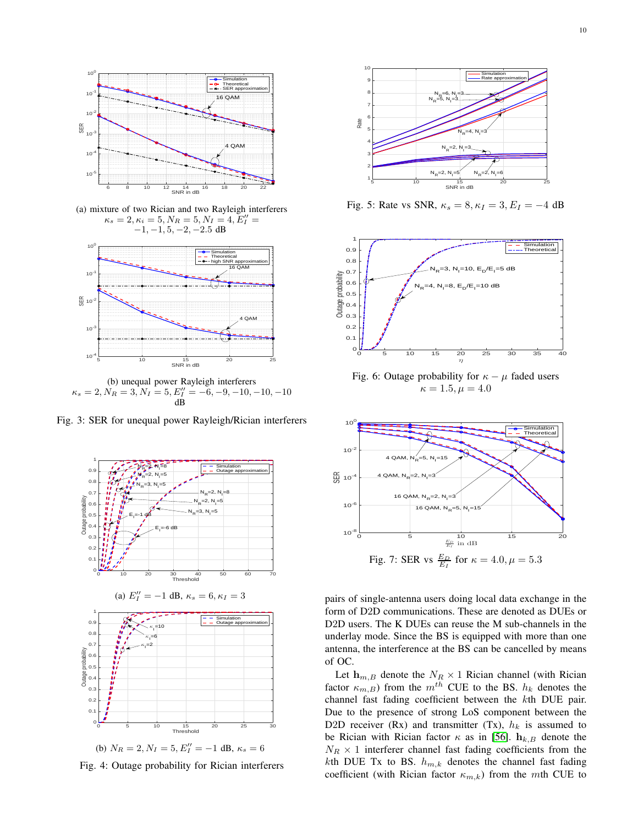<span id="page-9-0"></span>

(a) mixture of two Rician and two Rayleigh interferers  $\kappa_s = 2, \kappa_i = 5, N_R = 5, N_I = 4, E_I'' =$  $-1, -1, 5, -2, -2.5$  dB



(b) unequal power Rayleigh interferers  $\kappa_s = 2, N_R = 3, N_I = 5, E_I'' = -6, -9, -10, -10, -10$ dB

<span id="page-9-1"></span>Fig. 3: SER for unequal power Rayleigh/Rician interferers



(b)  $N_R = 2, N_I = 5, E_I'' = -1$  dB,  $\kappa_s = 6$ 

Fig. 4: Outage probability for Rician interferers

<span id="page-9-2"></span>

Fig. 5: Rate vs SNR,  $\kappa_s = 8, \kappa_I = 3, E_I = -4$  dB

<span id="page-9-3"></span>

Fig. 6: Outage probability for  $\kappa - \mu$  faded users  $\kappa = 1.5, \mu = 4.0$ 

<span id="page-9-4"></span>

pairs of single-antenna users doing local data exchange in the form of D2D communications. These are denoted as DUEs or D2D users. The K DUEs can reuse the M sub-channels in the underlay mode. Since the BS is equipped with more than one antenna, the interference at the BS can be cancelled by means of OC.

Let  $h_{m,B}$  denote the  $N_R \times 1$  Rician channel (with Rician factor  $\kappa_{m,B}$ ) from the  $m^{th}$  CUE to the BS.  $h_k$  denotes the channel fast fading coefficient between the kth DUE pair. Due to the presence of strong LoS component between the D2D receiver (Rx) and transmitter (Tx),  $h_k$  is assumed to be Rician with Rician factor  $\kappa$  as in [\[56\]](#page-14-38).  $\mathbf{h}_{k,B}$  denote the  $N_R \times 1$  interferer channel fast fading coefficients from the kth DUE Tx to BS.  $h_{m,k}$  denotes the channel fast fading coefficient (with Rician factor  $\kappa_{m,k}$ ) from the mth CUE to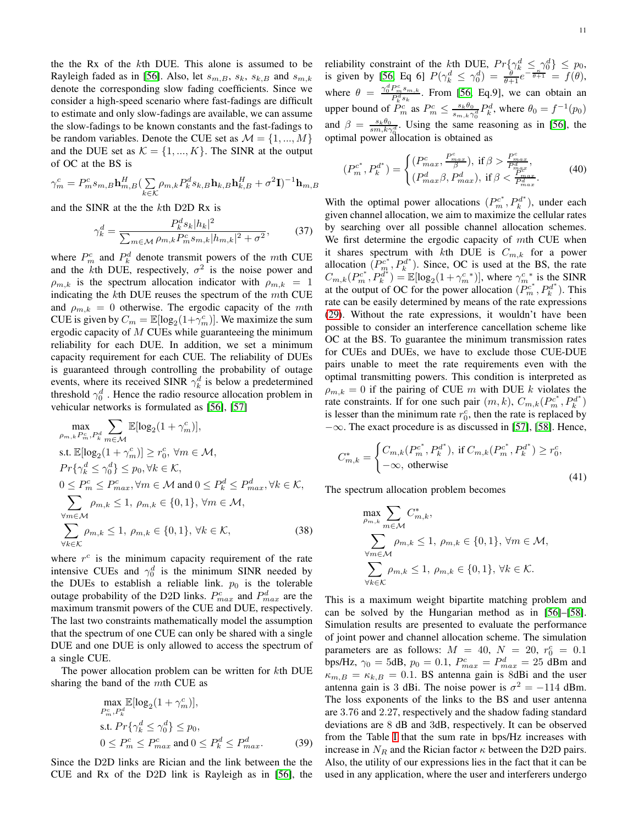the the Rx of the kth DUE. This alone is assumed to be Rayleigh faded as in [\[56\]](#page-14-38). Also, let  $s_{m,B}$ ,  $s_k$ ,  $s_{k,B}$  and  $s_{m,k}$ denote the corresponding slow fading coefficients. Since we consider a high-speed scenario where fast-fadings are difficult to estimate and only slow-fadings are available, we can assume the slow-fadings to be known constants and the fast-fadings to be random variables. Denote the CUE set as  $\mathcal{M} = \{1, ..., M\}$ and the DUE set as  $K = \{1, ..., K\}$ . The SINR at the output of OC at the BS is

$$
\gamma_m^c = P_m^c s_{m,B} \mathbf{h}_{m,B}^H \left( \sum_{k \in \mathcal{K}} \rho_{m,k} P_k^d s_{k,B} \mathbf{h}_{k,B} \mathbf{h}_{k,B}^H + \sigma^2 \mathbf{I} \right)^{-1} \mathbf{h}_{m,B}
$$

and the SINR at the the kth D2D Rx is

$$
\gamma_k^d = \frac{P_k^d s_k |h_k|^2}{\sum_{m \in \mathcal{M}} \rho_{m,k} P_m^c s_{m,k} |h_{m,k}|^2 + \sigma^2},\tag{37}
$$

where  $P_m^c$  and  $P_k^d$  denote transmit powers of the mth CUE and the kth DUE, respectively,  $\sigma^2$  is the noise power and  $\rho_{m,k}$  is the spectrum allocation indicator with  $\rho_{m,k} = 1$ indicating the  $k$ th DUE reuses the spectrum of the  $m$ th CUE and  $\rho_{m,k} = 0$  otherwise. The ergodic capacity of the mth CUE is given by  $C_m = \mathbb{E}[\log_2(1+\gamma_m^c)]$ . We maximize the sum ergodic capacity of  $M$  CUEs while guaranteeing the minimum reliability for each DUE. In addition, we set a minimum capacity requirement for each CUE. The reliability of DUEs is guaranteed through controlling the probability of outage events, where its received SINR  $\gamma_k^d$  is below a predetermined threshold  $\gamma_0^d$ . Hence the radio resource allocation problem in vehicular networks is formulated as [\[56\]](#page-14-38), [\[57\]](#page-14-40)

$$
\max_{\rho_{m,k}P_m^c,P_k^d} \sum_{m \in \mathcal{M}} \mathbb{E}[\log_2(1+\gamma_m^c)],
$$
  
s.t.  $\mathbb{E}[\log_2(1+\gamma_m^c)] \ge r_0^c, \forall m \in \mathcal{M},$   
 $Pr\{\gamma_k^d \le \gamma_0^d\} \le p_0, \forall k \in \mathcal{K},$   
 $0 \le P_m^c \le P_{max}^c, \forall m \in \mathcal{M} \text{ and } 0 \le P_k^d \le P_{max}^d, \forall k \in \mathcal{K},$   
 $\sum_{\forall m \in \mathcal{M}} \rho_{m,k} \le 1, \rho_{m,k} \in \{0,1\}, \forall m \in \mathcal{M},$   
 $\sum_{\forall k \in \mathcal{K}} \rho_{m,k} \le 1, \rho_{m,k} \in \{0,1\}, \forall k \in \mathcal{K},$  (38)

where  $r^c$  is the minimum capacity requirement of the rate intensive CUEs and  $\gamma_0^d$  is the minimum SINR needed by the DUEs to establish a reliable link.  $p_0$  is the tolerable outage probability of the D2D links.  $P_{max}^c$  and  $P_{max}^d$  are the maximum transmit powers of the CUE and DUE, respectively. The last two constraints mathematically model the assumption that the spectrum of one CUE can only be shared with a single DUE and one DUE is only allowed to access the spectrum of a single CUE.

The power allocation problem can be written for kth DUE sharing the band of the mth CUE as

$$
\max_{P_m^c, P_k^d} \mathbb{E}[\log_2(1 + \gamma_m^c)],
$$
  
s.t.  $Pr\{\gamma_k^d \le \gamma_0^d\} \le p_0,$   
 $0 \le P_m^c \le P_{max}^c \text{ and } 0 \le P_k^d \le P_{max}^d.$  (39)

Since the D2D links are Rician and the link between the the CUE and Rx of the D2D link is Rayleigh as in [\[56\]](#page-14-38), the reliability constraint of the kth DUE,  $Pr\{\gamma_k^d \leq \gamma_0^d\} \leq p_0$ , is given by [\[56,](#page-14-38) Eq 6]  $P(\gamma_k^d \leq \gamma_0^d) = \frac{\partial}{\partial+1} e^{-\frac{\kappa}{\partial+1}} = f(\theta)$ , where  $\theta = \frac{\gamma_0^d P_m^c s_{m,k}}{P_k^d s_k}$ . From [\[56,](#page-14-38) Eq.9], we can obtain an upper bound of  $\tilde{P}_m^c$  as  $P_m^c \leq \frac{s_k \theta_0}{s_{m,k} \gamma}$  $\frac{s_k \theta_0}{s_{m,k} \gamma_0^d} P_k^d$ , where  $\theta_0 = f^{-1}(p_0)$ and  $\beta = \frac{s_k \theta_0}{s m, k \gamma_0^d}$ . Using the same reasoning as in [\[56\]](#page-14-38), the optimal power allocation is obtained as

$$
(P_m^{c^*}, P_k^{d^*}) = \begin{cases} (P_{max}^c, \frac{P_{max}^c}{\beta}), \text{ if } \beta > \frac{P_{max}^c}{P_{max}^d}, \\ (P_{max}^d, P_{max}^d), \text{ if } \beta < \frac{P_{max}^c}{P_{max}^d}. \end{cases}
$$
(40)

With the optimal power allocations  $(P_m^{c^*}, P_k^{d^*})$  $h_k^{od}$ <sup>\*</sup>), under each given channel allocation, we aim to maximize the cellular rates by searching over all possible channel allocation schemes. We first determine the ergodic capacity of  $m$ th CUE when it shares spectrum with kth DUE is  $C_{m,k}$  for a power allocation  $(P_m^{c^*}, P_k^{d^*})$  $k_k^{nd}$ ). Since, OC is used at the BS, the rate  $C_{m,k} (P_m^{c^*}, P_k^{d^*})$  $\hat{y}_{k}^{d^*}$ ) =  $\mathbb{E}[\log_2(1+\gamma_m^{c*})]$ , where  $\gamma_m^{c*}$  is the SINR at the output of OC for the power allocation  $(P_m^{c^*}, P_k^{d^*})$ . This rate can be easily determined by means of the rate expressions [\(29\)](#page-5-2). Without the rate expressions, it wouldn't have been possible to consider an interference cancellation scheme like OC at the BS. To guarantee the minimum transmission rates for CUEs and DUEs, we have to exclude those CUE-DUE pairs unable to meet the rate requirements even with the optimal transmitting powers. This condition is interpreted as  $\rho_{m,k} = 0$  if the pairing of CUE m with DUE k violates the rate constraints. If for one such pair  $(m, k)$ ,  $C_{m,k}(P_m^{c^*}, P_k^{d^*})$ is lesser than the minimum rate  $r_0^c$ , then the rate is replaced by  $-\infty$ . The exact procedure is as discussed in [\[57\]](#page-14-40), [\[58\]](#page-14-39). Hence,

$$
C_{m,k}^{*} = \begin{cases} C_{m,k}(P_m^{c^*}, P_k^{d^*}), & \text{if } C_{m,k}(P_m^{c^*}, P_k^{d^*}) \ge r_0^c, \\ -\infty, & \text{otherwise} \end{cases}
$$
(41)

The spectrum allocation problem becomes

$$
\max_{\rho_{m,k}} \sum_{m \in \mathcal{M}} C^*_{m,k},
$$
\n
$$
\sum_{\substack{\forall m \in \mathcal{M} \\ \forall k \in \mathcal{K}}} \rho_{m,k} \le 1, \ \rho_{m,k} \in \{0,1\}, \ \forall m \in \mathcal{M},
$$
\n
$$
\sum_{\forall k \in \mathcal{K}} \rho_{m,k} \le 1, \ \rho_{m,k} \in \{0,1\}, \ \forall k \in \mathcal{K}.
$$

This is a maximum weight bipartite matching problem and can be solved by the Hungarian method as in [\[56\]](#page-14-38)–[\[58\]](#page-14-39). Simulation results are presented to evaluate the performance of joint power and channel allocation scheme. The simulation parameters are as follows:  $M = 40$ ,  $N = 20$ ,  $r_0^c = 0.1$ bps/Hz,  $\gamma_0 = 5$ dB,  $p_0 = 0.1$ ,  $P_{max}^c = P_{max}^d = 25$  dBm and  $\kappa_{m,B} = \kappa_{k,B} = 0.1$ . BS antenna gain is 8dBi and the user antenna gain is 3 dBi. The noise power is  $\sigma^2 = -114$  dBm. The loss exponents of the links to the BS and user antenna are 3.76 and 2.27, respectively and the shadow fading standard deviations are 8 dB and 3dB, respectively. It can be observed from the Table [I](#page-11-2) that the sum rate in bps/Hz increases with increase in  $N_R$  and the Rician factor  $\kappa$  between the D2D pairs. Also, the utility of our expressions lies in the fact that it can be used in any application, where the user and interferers undergo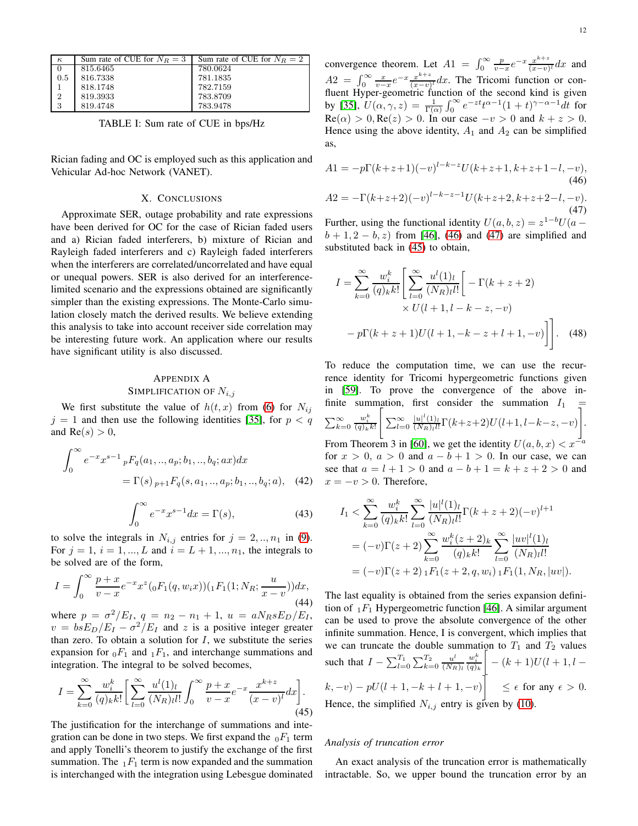<span id="page-11-2"></span>

| $\kappa$   | Sum rate of CUE for $N_B = 3$ | Sum rate of CUE for $N_B = 2$ |
|------------|-------------------------------|-------------------------------|
|            | 815.6465                      | 780.0624                      |
| 0.5        | 816.7338                      | 781.1835                      |
|            | 818.1748                      | 782.7159                      |
| $\sqrt{2}$ | 819.3933                      | 783.8709                      |
| l 3        | 819.4748                      | 783.9478                      |

TABLE I: Sum rate of CUE in bps/Hz

Rician fading and OC is employed such as this application and Vehicular Ad-hoc Network (VANET).

### X. CONCLUSIONS

Approximate SER, outage probability and rate expressions have been derived for OC for the case of Rician faded users and a) Rician faded interferers, b) mixture of Rician and Rayleigh faded interferers and c) Rayleigh faded interferers when the interferers are correlated/uncorrelated and have equal or unequal powers. SER is also derived for an interferencelimited scenario and the expressions obtained are significantly simpler than the existing expressions. The Monte-Carlo simulation closely match the derived results. We believe extending this analysis to take into account receiver side correlation may be interesting future work. An application where our results have significant utility is also discussed.

# <span id="page-11-0"></span>APPENDIX A SIMPLIFICATION OF  $N_{i,j}$

We first substitute the value of  $h(t, x)$  from [\(6\)](#page-1-7) for  $N_{ij}$  $j = 1$  and then use the following identities [\[35\]](#page-14-16), for  $p < q$ and  $Re(s) > 0$ ,

$$
\int_0^\infty e^{-x} x^{s-1} \, _pF_q(a_1,..,a_p;b_1,..,b_q;ax)dx
$$
  
=  $\Gamma(s) \, _{p+1}F_q(s, a_1,..,a_p;b_1,..,b_q;a),$  (42)

$$
\int_0^\infty e^{-x} x^{s-1} dx = \Gamma(s),\tag{43}
$$

to solve the integrals in  $N_{i,j}$  entries for  $j = 2,..,n_1$  in [\(9\)](#page-1-4). For  $j = 1, i = 1, ..., L$  and  $i = L + 1, ..., n_1$ , the integrals to be solved are of the form,

$$
I = \int_0^\infty \frac{p+x}{v-x} e^{-x} x^z ({}_0F_1(q, w_i x)) ({}_1F_1(1; N_R; \frac{u}{x-v})) dx,
$$
\n(44)

where  $p = \frac{\sigma^2}{E_I}$ ,  $q = n_2 - n_1 + 1$ ,  $u = aN_RsE_D/E_I$ ,  $v = b s E_D/E_I - \sigma^2/E_I$  and z is a positive integer greater than zero. To obtain a solution for  $I$ , we substitute the series expansion for  $_0F_1$  and  $_1F_1$ , and interchange summations and integration. The integral to be solved becomes,

<span id="page-11-5"></span>
$$
I = \sum_{k=0}^{\infty} \frac{w_i^k}{(q)_k k!} \left[ \sum_{l=0}^{\infty} \frac{u^l(1)_l}{(N_R)_l l!} \int_0^{\infty} \frac{p+x}{v-x} e^{-x} \frac{x^{k+z}}{(x-v)^l} dx \right].
$$
\n(45)

The justification for the interchange of summations and integration can be done in two steps. We first expand the  $_0F_1$  term and apply Tonelli's theorem to justify the exchange of the first summation. The  $_1F_1$  term is now expanded and the summation is interchanged with the integration using Lebesgue dominated

convergence theorem. Let  $A1 = \int_0^\infty \frac{p}{v-x} e^{-x} \frac{x^{k+z}}{(x-v)^k} dx$  and 0  $v-x$   $(x-v)$  $A2 = \int_0^\infty \frac{x}{v-x} e^{-x} \frac{x^{k+z}}{(x-v)}$  $\frac{x^{n+2}}{(x-v)^t}dx$ . The Tricomi function or confluent Hyper-geometric function of the second kind is given by [\[35\]](#page-14-16),  $U(\alpha, \gamma, z) = \frac{1}{\Gamma(\alpha)} \int_0^\infty e^{-zt} t^{\alpha-1} (1+t)^{\gamma-\alpha-1} dt$  for  $\text{Re}(\alpha) > 0$ ,  $\text{Re}(z) > 0$ . In our case  $-v > 0$  and  $k + z > 0$ . Hence using the above identity,  $A_1$  and  $A_2$  can be simplified as,

<span id="page-11-3"></span>
$$
A1 = -p\Gamma(k+z+1)(-v)^{l-k-z}U(k+z+1, k+z+1-l, -v),
$$
\n(46)  
\n
$$
A2 = -\Gamma(k+z+2)(-v)^{l-k-z-1}U(k+z+2, k+z+2-l, -v).
$$
\n(47)

<span id="page-11-4"></span>Further, using the functional identity  $U(a, b, z) = z^{1-b}U(a - z)$  $b + 1, 2 - b, z$  from [\[46\]](#page-14-27), [\(46\)](#page-11-3) and [\(47\)](#page-11-4) are simplified and substituted back in [\(45\)](#page-11-5) to obtain,

$$
I = \sum_{k=0}^{\infty} \frac{w_i^k}{(q)_{k} k!} \left[ \sum_{l=0}^{\infty} \frac{u^l(1)_l}{(N_R)_l l!} \left[ -\Gamma(k+z+2) \times U(l+1, l-k-z, -v) \right] \right]
$$
  
-  $p \Gamma(k+z+1) U(l+1, -k-z+l+1, -v) \Big]$ . (48)

To reduce the computation time, we can use the recurrence identity for Tricomi hypergeometric functions given in [\[59\]](#page-14-41). To prove the convergence of the above infinite summation, first consider the summation  $I_1$  $\sum_{k=0}^{\infty}$  $\frac{w_i^k}{(q)_k k!}$  $\sqrt{ }$  $\sum_{l=0}^{\infty} \frac{|u|^l (1)_l}{(N_R)_l l!}$  $\frac{|u|+1}{(N_R)_l l!} \Gamma(k+z+2) U(l+1, l-k-z, -v)$ 1 . From Theorem 3 in [\[60\]](#page-14-42), we get the identity  $U(a, b, x) < x^{-a}$ for  $x > 0$ ,  $a > 0$  and  $a - b + 1 > 0$ . In our case, we can see that  $a = l + 1 > 0$  and  $a - b + 1 = k + z + 2 > 0$  and  $x = -v > 0$ . Therefore,

<span id="page-11-1"></span>
$$
I_1 < \sum_{k=0}^{\infty} \frac{w_i^k}{(q)_k k!} \sum_{l=0}^{\infty} \frac{|u|^l (1)_l}{(N_R)_l l!} \Gamma(k+z+2) (-v)^{l+1}
$$
\n
$$
= (-v) \Gamma(z+2) \sum_{k=0}^{\infty} \frac{w_i^k (z+2)_k}{(q)_k k!} \sum_{l=0}^{\infty} \frac{|uv|^l (1)_l}{(N_R)_l l!}
$$
\n
$$
= (-v) \Gamma(z+2) \Gamma(z+2, q, w_i) \Gamma_1(1, N_R, |uv|).
$$

The last equality is obtained from the series expansion definition of  $_1F_1$  Hypergeometric function [\[46\]](#page-14-27). A similar argument can be used to prove the absolute convergence of the other infinite summation. Hence, I is convergent, which implies that we can truncate the double summation to  $T_1$  and  $T_2$  values such that  $I - \sum_{l=0}^{T_1} \sum_{k=0}^{T_2} \frac{u^l}{(N_R)}$  $(N_R)_l$  $\frac{w_i^k}{(q)_k}$  $\Big[ -(k+1)U(l+1,l (k, -v) - pU(l + 1, -k + l + 1, -v)$   $\leq \epsilon$  for any  $\epsilon > 0$ . Hence, the simplified  $N_{i,j}$  entry is given by [\(10\)](#page-3-0).

#### *Analysis of truncation error*

An exact analysis of the truncation error is mathematically intractable. So, we upper bound the truncation error by an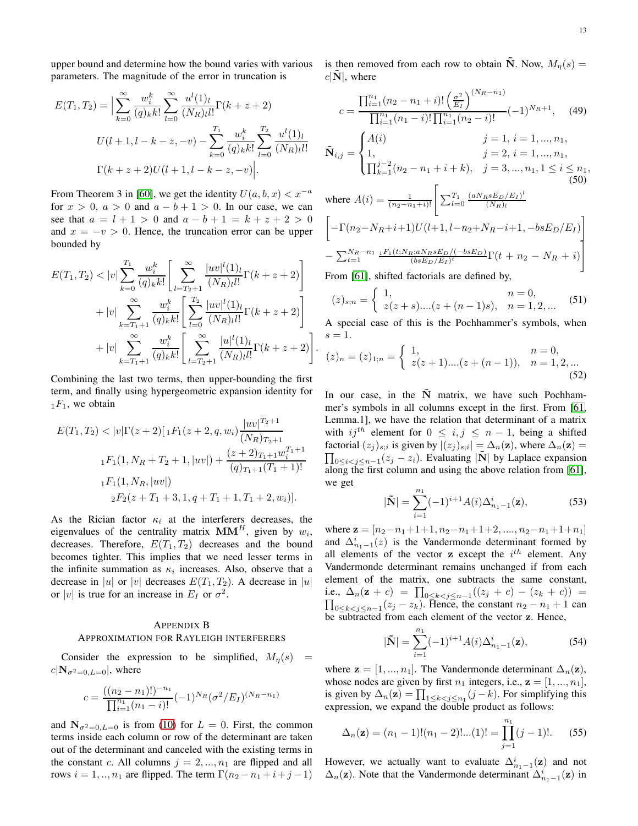upper bound and determine how the bound varies with various parameters. The magnitude of the error in truncation is

$$
E(T_1, T_2) = \Big| \sum_{k=0}^{\infty} \frac{w_i^k}{(q)_k k!} \sum_{l=0}^{\infty} \frac{u^l(1)_l}{(N_R)_l l!} \Gamma(k+z+2)
$$
  

$$
U(l+1, l-k-z, -v) - \sum_{k=0}^{T_1} \frac{w_i^k}{(q)_k k!} \sum_{l=0}^{T_2} \frac{u^l(1)_l}{(N_R)_l l!}
$$
  

$$
\Gamma(k+z+2)U(l+1, l-k-z, -v) \Big|.
$$

From Theorem 3 in [\[60\]](#page-14-42), we get the identity  $U(a, b, x) < x^{-a}$ for  $x > 0$ ,  $a > 0$  and  $a - b + 1 > 0$ . In our case, we can see that  $a = l + 1 > 0$  and  $a - b + 1 = k + z + 2 > 0$ and  $x = -v > 0$ . Hence, the truncation error can be upper bounded by

$$
E(T_1, T_2) < |v| \sum_{k=0}^{T_1} \frac{w_i^k}{(q)_k k!} \left[ \sum_{l=T_2+1}^{\infty} \frac{|uv|^l(1)_l}{(N_R)_l l!} \Gamma(k+z+2) \right] \\
+ |v| \sum_{k=T_1+1}^{\infty} \frac{w_i^k}{(q)_k k!} \left[ \sum_{l=0}^{T_2} \frac{|uv|^l(1)_l}{(N_R)_l l!} \Gamma(k+z+2) \right] \\
+ |v| \sum_{k=T_1+1}^{\infty} \frac{w_i^k}{(q)_k k!} \left[ \sum_{l=T_2+1}^{\infty} \frac{|u|^l(1)_l}{(N_R)_l l!} \Gamma(k+z+2) \right]
$$

Combining the last two terms, then upper-bounding the first term, and finally using hypergeometric expansion identity for  $_1F_1$ , we obtain

$$
E(T_1, T_2) < |v| \Gamma(z+2) [1 F_1(z+2, q, w_i) \frac{|uv|^{T_2+1}}{(N_R)_{T_2+1}}
$$
\n
$$
{}_{1}F_1(1, N_R + T_2 + 1, |uv|) + \frac{(z+2)_{T_1+1} w_i^{T_1+1}}{(q)_{T_1+1}(T_1+1)!}
$$
\n
$$
{}_{2}F_2(z+T_1+3, 1, q+T_1+1, T_1+2, w_i)].
$$

As the Rician factor  $\kappa_i$  at the interferers decreases, the eigenvalues of the centrality matrix  $MM^H$ , given by  $w_i$ , decreases. Therefore,  $E(T_1, T_2)$  decreases and the bound becomes tighter. This implies that we need lesser terms in the infinite summation as  $\kappa_i$  increases. Also, observe that a decrease in |u| or |v| decreases  $E(T_1, T_2)$ . A decrease in |u| or |v| is true for an increase in  $E_I$  or  $\sigma^2$ .

# <span id="page-12-0"></span>APPENDIX B APPROXIMATION FOR RAYLEIGH INTERFERERS

Consider the expression to be simplified,  $M_{\eta}(s)$  $c|\mathbf{N}_{\sigma^2=0,L=0}|$ , where

$$
c = \frac{((n_2 - n_1)!)^{-n_1}}{\prod_{i=1}^{n_1} (n_1 - i)!} (-1)^{N_R} (\sigma^2 / E_I)^{(N_R - n_1)}
$$

and  $N_{\sigma^2=0, L=0}$  is from [\(10\)](#page-3-0) for  $L = 0$ . First, the common terms inside each column or row of the determinant are taken out of the determinant and canceled with the existing terms in the constant c. All columns  $j = 2, ..., n_1$  are flipped and all rows  $i = 1, ..., n_1$  are flipped. The term  $\Gamma(n_2 - n_1 + i + j - 1)$  is then removed from each row to obtain N. Now,  $M_n(s) =$  $c|\tilde{\mathbf{N}}|$ , where

$$
c = \frac{\prod_{i=1}^{n_1} (n_2 - n_1 + i)! \left(\frac{\sigma^2}{E_I}\right)^{(N_R - n_1)}}{\prod_{i=1}^{n_1} (n_1 - i)! \prod_{i=1}^{n_1} (n_2 - i)!} (-1)^{N_R + 1}, \quad (49)
$$
  

$$
\tilde{\mathbf{N}}_{i,j} = \begin{cases} A(i) & j = 1, i = 1, ..., n_1, \\ 1, & j = 2, i = 1, ..., n_1, \\ \prod_{k=1}^{j-2} (n_2 - n_1 + i + k), & j = 3, ..., n_1, 1 \le i \le n_1, \\ 0, & (50) \end{cases}
$$
  
where  $A(i) = 1$  
$$
\begin{bmatrix} \nabla^{T_1} & (aN_R s E_D/E_I)^l \\ \nabla^{T_1} & (aN_R s E_D/E_I)^l \n\end{bmatrix}
$$

<span id="page-12-1"></span>where 
$$
A(i) = \frac{1}{(n_2 - n_1 + i)!} \left[ \sum_{l=0}^{T_1} \frac{(aN_RsE_D/E_I)^l}{(N_R)_l} \right]
$$
  
\n
$$
\left[ -\Gamma(n_2 - N_R + i + 1)U(l+1, l-n_2 + N_R - i + 1, -bsE_D/E_I) \right]
$$
\n
$$
- \sum_{t=1}^{N_R - n_1} \frac{{}_1F_1(t; N_R; aN_RsE_D/(-bsE_D)}{(bsE_D/E_I)^t} \Gamma(t + n_2 - N_R + i) \right]
$$

From [\[61\]](#page-15-0), shifted factorials are defined by,

.

$$
(z)_{s;n} = \begin{cases} 1, & n = 0, \\ z(z+s)...(z+(n-1)s), & n = 1,2,... \end{cases}
$$
 (51)

A special case of this is the Pochhammer's symbols, when  $s=1$ .

$$
(z)_n = (z)_{1;n} = \begin{cases} 1, & n = 0, \\ z(z+1)...(z+(n-1)), & n = 1,2,... \end{cases}
$$
(52)

In our case, in the  $\tilde{N}$  matrix, we have such Pochhammer's symbols in all columns except in the first. From [\[61,](#page-15-0) Lemma.1], we have the relation that determinant of a matrix with  $ij^{th}$  element for  $0 \le i, j \le n-1$ , being a shifted factorial  $(z_j)_{s,i}$  is given by  $|(z_j)_{s,i}| = \Delta_n(\mathbf{z})$ , where  $\Delta_n(\mathbf{z}) =$  $\prod_{0 \le i < j \le n-1} (z_j - z_i)$ . Evaluating  $|\tilde{N}|$  by Laplace expansion along the first column and using the above relation from [\[61\]](#page-15-0), we get

$$
|\tilde{\mathbf{N}}| = \sum_{i=1}^{n_1} (-1)^{i+1} A(i) \Delta_{n_1-1}^i(\mathbf{z}),
$$
 (53)

where  $z = [n_2-n_1+1+1, n_2-n_1+1+2, ..., n_2-n_1+1+n_1]$ and  $\Delta_{n_1-1}^i(z)$  is the Vandermonde determinant formed by all elements of the vector  $z$  except the  $i^{th}$  element. Any Vandermonde determinant remains unchanged if from each element of the matrix, one subtracts the same constant, i.e.,  $\Delta_n(z + c) = \prod_{0 \le k < j \le n-1}$ <br> $\prod_{0 \le k < j \le n-1} (z_j - z_k)$ . Hence, the  $((z_j + c) - (z_k + c)) =$  $0 \le k < j \le n-1$  ( $z_j - z_k$ ). Hence, the constant  $n_2 - n_1 + 1$  can be subtracted from each element of the vector z. Hence,

<span id="page-12-2"></span>
$$
|\tilde{\mathbf{N}}| = \sum_{i=1}^{n_1} (-1)^{i+1} A(i) \Delta_{n_1-1}^i(\mathbf{z}), \tag{54}
$$

where  $z = [1, ..., n_1]$ . The Vandermonde determinant  $\Delta_n(z)$ , whose nodes are given by first  $n_1$  integers, i.e.,  $\mathbf{z} = [1, ..., n_1],$ is given by  $\Delta_n(\mathbf{z}) = \prod_{1 \leq k < j \leq n_1} (j - k)$ . For simplifying this expression, we expand the double product as follows:

$$
\Delta_n(\mathbf{z}) = (n_1 - 1)!(n_1 - 2)!\dots(1)! = \prod_{j=1}^{n_1} (j - 1)!\dots (55)
$$

However, we actually want to evaluate  $\Delta_{n_1-1}^i(z)$  and not  $\Delta_n(z)$ . Note that the Vandermonde determinant  $\Delta_{n_1-1}^i(z)$  in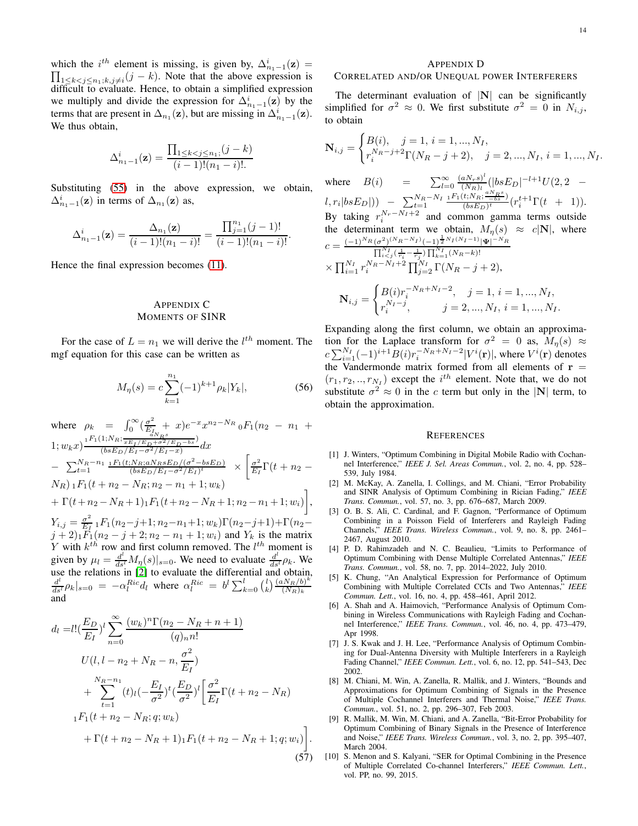which the  $i^{th}$  element is missing, is given by,  $\Delta_{n_1-1}^i(\mathbf{z}) =$  $\prod_{\substack{1 \le k < j \le n_1, k, j \neq i}} (j - k)$ . Note that the above expression is difficult to evaluate. Hence, to obtain a simplified expression we multiply and divide the expression for  $\Delta_{n_1-1}^i(\mathbf{z})$  by the terms that are present in  $\Delta_{n_1}(\mathbf{z})$ , but are missing in  $\Delta_{n_1-1}^i(\mathbf{z})$ . We thus obtain,

$$
\Delta_{n_1-1}^i(\mathbf{z}) = \frac{\prod_{1 \le k < j \le n_1; (j-k)} (j - k)}{(i-1)!(n_1 - i)!}
$$

Substituting [\(55\)](#page-12-2) in the above expression, we obtain,  $\Delta_{n_1-1}^i(\mathbf{z})$  in terms of  $\Delta_{n_1}(\mathbf{z})$  as,

$$
\Delta_{n_1-1}^i(\mathbf{z}) = \frac{\Delta_{n_1}(\mathbf{z})}{(i-1)!(n_1-i)!} = \frac{\prod_{j=1}^{n_1}(j-1)!}{(i-1)!(n_1-i)!}.
$$

Hence the final expression becomes [\(11\)](#page-2-2).

# <span id="page-13-6"></span>APPENDIX C MOMENTS OF SINR

For the case of  $L = n_1$  we will derive the  $l^{th}$  moment. The mgf equation for this case can be written as

$$
M_{\eta}(s) = c \sum_{k=1}^{n_1} (-1)^{k+1} \rho_k |Y_k|,
$$
 (56)

where 
$$
\rho_k = \int_0^\infty (\frac{\sigma^2}{E_I} + x)e^{-x}x^{n_2 - N_R} {}_0F_1(n_2 - n_1 + 1; w_k x) \frac{{}_1F_1(1; N_R; \frac{1}{xE_I/E_D + \sigma^2/E_D - bs}}{(bsE_D/E_I - \sigma^2/E_I - x)} dx
$$
  
\n $- \sum_{t=1}^{N_R - n_1} \frac{{}_1F_1(t; N_R; aN_R sE_D/(\sigma^2 - bsE_D)}{(bsE_D/E_I - \sigma^2/E_I)^t} \times \left[ \frac{\sigma^2}{E_I} \Gamma(t + n_2 - N_R) {}_1F_1(t + n_2 - N_R; n_2 - n_1 + 1; w_k) + \Gamma(t + n_2 - N_R + 1) {}_1F_1(t + n_2 - N_R + 1; n_2 - n_1 + 1; w_i) \right],$   
\n $Y_{i,j} = \frac{\sigma^2}{E_I} {}_1F_1(n_2 - j + 1; n_2 - n_1 + 1; w_k) \Gamma(n_2 - j + 1) + \Gamma(n_2 - j + 2) {}_1F_1(n_2 - j + 2; n_2 - n_1 + 1; w_i) \text{ and } Y_k \text{ is the matrix } Y \text{ with } k^{th} \text{ row and first column removed. The } l^{th} \text{ moment is given by } \mu_l = \frac{d^l}{ds^l} M_\eta(s)|_{s=0}.$  We need to evaluate  $\frac{d^l}{ds^l} \rho_k$ . We use the relations in [2] to evaluate the differential and obtain,  
\n $\frac{d^l}{ds^l} \rho_k|_{s=0} = -\alpha_l^{Ric} d_l \text{ where } \alpha_l^{Ric} = b^l \sum_{k=0}^l {l \choose k} \frac{(\alpha N_R/b)^k}{(N_R)_k}$ 

$$
d_{l} = l! \left(\frac{E_{D}}{E_{I}}\right)^{l} \sum_{n=0}^{\infty} \frac{(w_{k})^{n} \Gamma(n_{2} - N_{R} + n + 1)}{(q)_{n} n!}
$$
  
\n
$$
U(l, l - n_{2} + N_{R} - n, \frac{\sigma^{2}}{E_{I}})
$$
  
\n
$$
+ \sum_{t=1}^{N_{R} - n_{1}} (t)_{l} \left(-\frac{E_{I}}{\sigma^{2}}\right)^{t} \left(\frac{E_{D}}{\sigma^{2}}\right)^{l} \left[\frac{\sigma^{2}}{E_{I}} \Gamma(t + n_{2} - N_{R})\right]
$$
  
\n
$$
{}_{1}F_{1}(t + n_{2} - N_{R}; q; w_{k})
$$
  
\n
$$
+ \Gamma(t + n_{2} - N_{R} + 1)_{1}F_{1}(t + n_{2} - N_{R} + 1; q; w_{i})
$$
 (57)

#### <span id="page-13-4"></span>APPENDIX D

### CORRELATED AND/OR UNEQUAL POWER INTERFERERS

The determinant evaluation of  $|N|$  can be significantly simplified for  $\sigma^2 \approx 0$ . We first substitute  $\sigma^2 = 0$  in  $N_{i,j}$ , to obtain

$$
\mathbf{N}_{i,j} = \begin{cases} B(i), & j = 1, i = 1, ..., N_I, \\ r_i^{N_R - j + 2} \Gamma(N_R - j + 2), & j = 2, ..., N_I, i = 1, ..., N_I. \end{cases}
$$

where  $B(i)$  =  $\sum_{l=0}^{\infty} \frac{(aN_r s)^l}{(N_R)_l}$  $\frac{aN_r s)^{\epsilon}}{(N_R)_l} (|bsE_D|^{-l+1} U(2,2 (l, r_i | bs E_D|)$  –  $\sum_{t=1}^{N_R - N_I}$  $_1F_1(t;N_R;\frac{aN_Rs}{-bs})$  $\frac{(t;N_R;\frac{t}{\sqrt{b s}})}{(bs E_D)^t} (r_i^{t+1} \Gamma(t + 1)).$ By taking  $r_i^{N_r - N_I + 2}$  and common gamma terms outside the determinant term we obtain,  $M_{\eta}(s) \approx c|\mathbf{N}|$ , where  $c = \frac{(-1)^{N_R} (\sigma^2)^{(N_R-N_I)} (-1)^{\frac{1}{2} N_I(N_I-1)} |\Psi|^{-N_R}}{\Gamma^{N_I} (1-\frac{1}{2}) \Gamma^{N_I} (N_I-1)}$  $\prod_{i < j}^{N_I} (\frac{1}{r_i} - \frac{1}{r_j}) \prod_{k=1}^{N_I} (N_R - k)!$  $\times \prod_{i=1}^{N_I} r_i^{N_R-N_I+2} \prod_{j=2}^{N_I} \Gamma(N_R-j+2),$  $\int B(i)r_i^{-N_R+N_I-2}, \quad j=1, i=1,...,N_I,$ 

$$
\mathbf{N}_{i,j} = \begin{cases} \sum_{j=1}^{N_f-j} & , j = 1, \dots, N_I, i = 1, \dots, N_I. \\ r_i^{N_f-j}, & j = 2, \dots, N_I, i = 1, \dots, N_I. \end{cases}
$$
  
Expanding along the first column, we obtain an approxima-

tion for the Laplace transform for  $\sigma^2 = 0$  as,  $M_{\eta}(s) \approx$  $c \sum_{i=1}^{N_I} (-1)^{i+1} B(i) r_i^{-N_R+N_I-2} |V^i(\mathbf{r})|$ , where  $V^i(\mathbf{r})$  denotes the Vandermonde matrix formed from all elements of  $r =$  $(r_1, r_2, \ldots, r_{N_I})$  except the  $i^{th}$  element. Note that, we do not substitute  $\sigma^2 \approx 0$  in the c term but only in the  $|N|$  term, to obtain the approximation.

#### **REFERENCES**

- <span id="page-13-0"></span>[1] J. Winters, "Optimum Combining in Digital Mobile Radio with Cochannel Interference," *IEEE J. Sel. Areas Commun.*, vol. 2, no. 4, pp. 528– 539, July 1984.
- <span id="page-13-1"></span>[2] M. McKay, A. Zanella, I. Collings, and M. Chiani, "Error Probability and SINR Analysis of Optimum Combining in Rician Fading," *IEEE Trans. Commun.*, vol. 57, no. 3, pp. 676–687, March 2009.
- [3] O. B. S. Ali, C. Cardinal, and F. Gagnon, "Performance of Optimum Combining in a Poisson Field of Interferers and Rayleigh Fading Channels," *IEEE Trans. Wireless Commun.*, vol. 9, no. 8, pp. 2461– 2467, August 2010.
- [4] P. D. Rahimzadeh and N. C. Beaulieu, "Limits to Performance of Optimum Combining with Dense Multiple Correlated Antennas," *IEEE Trans. Commun.*, vol. 58, no. 7, pp. 2014–2022, July 2010.
- [5] K. Chung, "An Analytical Expression for Performance of Optimum Combining with Multiple Correlated CCIs and Two Antennas," *IEEE Commun. Lett.*, vol. 16, no. 4, pp. 458–461, April 2012.
- <span id="page-13-7"></span>[6] A. Shah and A. Haimovich, "Performance Analysis of Optimum Combining in Wireless Communications with Rayleigh Fading and Cochannel Interference," *IEEE Trans. Commun.*, vol. 46, no. 4, pp. 473–479, Apr 1998.
- [7] J. S. Kwak and J. H. Lee, "Performance Analysis of Optimum Combining for Dual-Antenna Diversity with Multiple Interferers in a Rayleigh Fading Channel," *IEEE Commun. Lett.*, vol. 6, no. 12, pp. 541–543, Dec 2002.
- <span id="page-13-2"></span>[8] M. Chiani, M. Win, A. Zanella, R. Mallik, and J. Winters, "Bounds and Approximations for Optimum Combining of Signals in the Presence of Multiple Cochannel Interferers and Thermal Noise," *IEEE Trans. Commun.*, vol. 51, no. 2, pp. 296–307, Feb 2003.
- [9] R. Mallik, M. Win, M. Chiani, and A. Zanella, "Bit-Error Probability for Optimum Combining of Binary Signals in the Presence of Interference and Noise," *IEEE Trans. Wireless Commun.*, vol. 3, no. 2, pp. 395–407, March 2004.
- <span id="page-13-5"></span><span id="page-13-3"></span>[10] S. Menon and S. Kalyani, "SER for Optimal Combining in the Presence of Multiple Correlated Co-channel Interferers," *IEEE Commun. Lett.*, vol. PP, no. 99, 2015.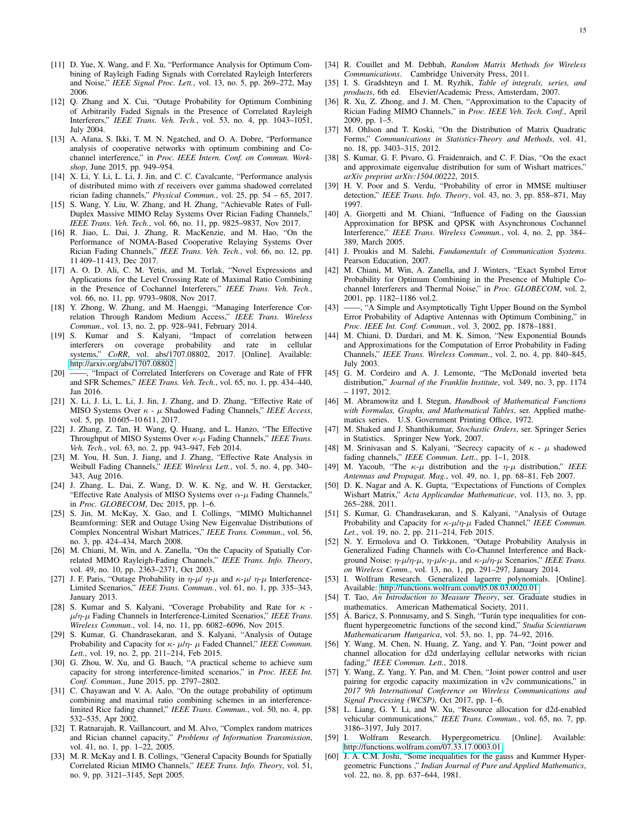- [11] D. Yue, X. Wang, and F. Xu, "Performance Analysis for Optimum Combining of Rayleigh Fading Signals with Correlated Rayleigh Interferers and Noise," *IEEE Signal Proc. Lett.*, vol. 13, no. 5, pp. 269–272, May 2006.
- [12] Q. Zhang and X. Cui, "Outage Probability for Optimum Combining of Arbitrarily Faded Signals in the Presence of Correlated Rayleigh Interferers," *IEEE Trans. Veh. Tech.*, vol. 53, no. 4, pp. 1043–1051, July 2004.
- <span id="page-14-0"></span>[13] A. Afana, S. Ikki, T. M. N. Ngatched, and O. A. Dobre, "Performance analysis of cooperative networks with optimum combining and Cochannel interference," in *Proc. IEEE Intern. Conf. on Commun. Workshop*, June 2015, pp. 949–954.
- <span id="page-14-1"></span>[14] X. Li, Y. Li, L. Li, J. Jin, and C. C. Cavalcante, "Performance analysis of distributed mimo with zf receivers over gamma shadowed correlated rician fading channels," *Physical Commun.*, vol. 25, pp. 54 – 65, 2017.
- <span id="page-14-2"></span>[15] S. Wang, Y. Liu, W. Zhang, and H. Zhang, "Achievable Rates of Full-Duplex Massive MIMO Relay Systems Over Rician Fading Channels," *IEEE Trans. Veh. Tech.*, vol. 66, no. 11, pp. 9825–9837, Nov 2017.
- <span id="page-14-3"></span>[16] R. Jiao, L. Dai, J. Zhang, R. MacKenzie, and M. Hao, "On the Performance of NOMA-Based Cooperative Relaying Systems Over Rician Fading Channels," *IEEE Trans. Veh. Tech.*, vol. 66, no. 12, pp. 11 409–11 413, Dec 2017.
- <span id="page-14-4"></span>[17] A. O. D. Ali, C. M. Yetis, and M. Torlak, "Novel Expressions and Applications for the Level Crossing Rate of Maximal Ratio Combining in the Presence of Cochannel Interferers," *IEEE Trans. Veh. Tech.*, vol. 66, no. 11, pp. 9793–9808, Nov 2017.
- <span id="page-14-5"></span>[18] Y. Zhong, W. Zhang, and M. Haenggi, "Managing Interference Correlation Through Random Medium Access," *IEEE Trans. Wireless Commun.*, vol. 13, no. 2, pp. 928–941, February 2014.
- [19] S. Kumar and S. Kalyani, "Impact of correlation between interferers on coverage probability and rate in cellular systems," *CoRR*, vol. abs/1707.08802, 2017. [Online]. Available: <http://arxiv.org/abs/1707.08802>
- <span id="page-14-6"></span>[20] ——, "Impact of Correlated Interferers on Coverage and Rate of FFR and SFR Schemes," *IEEE Trans. Veh. Tech.*, vol. 65, no. 1, pp. 434–440, Jan 2016.
- <span id="page-14-7"></span>[21] X. Li, J. Li, L. Li, J. Jin, J. Zhang, and D. Zhang, "Effective Rate of MISO Systems Over κ - µ Shadowed Fading Channels," *IEEE Access*, vol. 5, pp. 10 605–10 611, 2017.
- <span id="page-14-36"></span>[22] J. Zhang, Z. Tan, H. Wang, Q. Huang, and L. Hanzo, "The Effective Throughput of MISO Systems Over κ-µ Fading Channels," *IEEE Trans. Veh. Tech.*, vol. 63, no. 2, pp. 943–947, Feb 2014.
- [23] M. You, H. Sun, J. Jiang, and J. Zhang, "Effective Rate Analysis in Weibull Fading Channels," *IEEE Wireless Lett.*, vol. 5, no. 4, pp. 340– 343, Aug 2016.
- <span id="page-14-8"></span>[24] J. Zhang, L. Dai, Z. Wang, D. W. K. Ng, and W. H. Gerstacker, "Effective Rate Analysis of MISO Systems over  $\alpha$ - $\mu$  Fading Channels," in *Proc. GLOBECOM*, Dec 2015, pp. 1–6.
- <span id="page-14-9"></span>[25] S. Jin, M. McKay, X. Gao, and I. Collings, "MIMO Multichannel Beamforming: SER and Outage Using New Eigenvalue Distributions of Complex Noncentral Wishart Matrices," *IEEE Trans. Commun.*, vol. 56, no. 3, pp. 424–434, March 2008.
- <span id="page-14-10"></span>[26] M. Chiani, M. Win, and A. Zanella, "On the Capacity of Spatially Correlated MIMO Rayleigh-Fading Channels," *IEEE Trans. Info. Theory*, vol. 49, no. 10, pp. 2363–2371, Oct 2003.
- <span id="page-14-11"></span>[27] J. F. Paris, "Outage Probability in  $\eta$ - $\mu$ /  $\eta$ - $\mu$  and  $\kappa$ - $\mu$ /  $\eta$ - $\mu$  Interference-Limited Scenarios," *IEEE Trans. Commun.*, vol. 61, no. 1, pp. 335–343, January 2013.
- [28] S. Kumar and S. Kalyani, "Coverage Probability and Rate for  $\kappa$  µ/η-µ Fading Channels in Interference-Limited Scenarios," *IEEE Trans. Wireless Commun.*, vol. 14, no. 11, pp. 6082–6096, Nov 2015.
- [29] S. Kumar, G. Chandrasekaran, and S. Kalyani, "Analysis of Outage Probability and Capacity for κ- µ/η- µ Faded Channel," *IEEE Commun. Lett.*, vol. 19, no. 2, pp. 211–214, Feb 2015.
- [30] G. Zhou, W. Xu, and G. Bauch, "A practical scheme to achieve sum capacity for strong interference-limited scenarios," in *Proc. IEEE Int. Conf. Commun.*, June 2015, pp. 2797–2802.
- <span id="page-14-12"></span>[31] C. Chayawan and V. A. Aalo, "On the outage probability of optimum combining and maximal ratio combining schemes in an interferencelimited Rice fading channel," *IEEE Trans. Commun.*, vol. 50, no. 4, pp. 532–535, Apr 2002.
- <span id="page-14-13"></span>[32] T. Ratnarajah, R. Vaillancourt, and M. Alvo, "Complex random matrices and Rician channel capacity," *Problems of Information Transmission*, vol. 41, no. 1, pp. 1–22, 2005.
- <span id="page-14-14"></span>[33] M. R. McKay and I. B. Collings, "General Capacity Bounds for Spatially Correlated Rician MIMO Channels," *IEEE Trans. Info. Theory*, vol. 51, no. 9, pp. 3121–3145, Sept 2005.
- <span id="page-14-15"></span>[34] R. Couillet and M. Debbah, *Random Matrix Methods for Wireless Communications*. Cambridge University Press, 2011.
- <span id="page-14-16"></span>[35] I. S. Gradshteyn and I. M. Ryzhik, *Table of integrals, series, and products*, 6th ed. Elsevier/Academic Press, Amsterdam, 2007.
- <span id="page-14-17"></span>[36] R. Xu, Z. Zhong, and J. M. Chen, "Approximation to the Capacity of Rician Fading MIMO Channels," in *Proc. IEEE Veh. Tech. Conf.*, April 2009, pp. 1–5.
- <span id="page-14-18"></span>[37] M. Ohlson and T. Koski, "On the Distribution of Matrix Quadratic Forms," *Communications in Statistics-Theory and Methods*, vol. 41, no. 18, pp. 3403–315, 2012.
- <span id="page-14-19"></span>[38] S. Kumar, G. F. Pivaro, G. Fraidenraich, and C. F. Dias, "On the exact and approximate eigenvalue distribution for sum of Wishart matrices," *arXiv preprint arXiv:1504.00222*, 2015.
- <span id="page-14-20"></span>[39] H. V. Poor and S. Verdu, "Probability of error in MMSE multiuser detection," *IEEE Trans. Info. Theory*, vol. 43, no. 3, pp. 858–871, May 1997.
- <span id="page-14-21"></span>[40] A. Giorgetti and M. Chiani, "Influence of Fading on the Gaussian Approximation for BPSK and QPSK with Asynchronous Cochannel Interference," *IEEE Trans. Wireless Commun.*, vol. 4, no. 2, pp. 384– 389, March 2005.
- <span id="page-14-22"></span>[41] J. Proakis and M. Salehi, *Fundamentals of Communication Systems*. Pearson Education, 2007.
- <span id="page-14-23"></span>[42] M. Chiani, M. Win, A. Zanella, and J. Winters, "Exact Symbol Error Probability for Optimum Combining in the Presence of Multiple Cochannel Interferers and Thermal Noise," in *Proc. GLOBECOM*, vol. 2, 2001, pp. 1182–1186 vol.2.
- <span id="page-14-24"></span>[43] ——, "A Simple and Asymptotically Tight Upper Bound on the Symbol Error Probability of Adaptive Antennas with Optimum Combining," in *Proc. IEEE Int. Conf. Commun.*, vol. 3, 2002, pp. 1878–1881.
- <span id="page-14-25"></span>[44] M. Chiani, D. Dardari, and M. K. Simon, "New Exponential Bounds and Approximations for the Computation of Error Probability in Fading Channels," *IEEE Trans. Wireless Commun.*, vol. 2, no. 4, pp. 840–845, July 2003.
- <span id="page-14-26"></span>[45] G. M. Cordeiro and A. J. Lemonte, "The McDonald inverted beta distribution," *Journal of the Franklin Institute*, vol. 349, no. 3, pp. 1174 – 1197, 2012.
- <span id="page-14-27"></span>[46] M. Abramowitz and I. Stegun, *Handbook of Mathematical Functions with Formulas, Graphs, and Mathematical Tables*, ser. Applied mathematics series. U.S. Government Printing Office, 1972.
- <span id="page-14-28"></span>[47] M. Shaked and J. Shanthikumar, *Stochastic Orders*, ser. Springer Series in Statistics. Springer New York, 2007.
- <span id="page-14-29"></span>[48] M. Srinivasan and S. Kalyani, "Secrecy capacity of  $\kappa$  -  $\mu$  shadowed fading channels," *IEEE Commun. Lett.*, pp. 1–1, 2018.
- <span id="page-14-30"></span>[49] M. Yacoub, "The  $\kappa$ - $\mu$  distribution and the  $\eta$ - $\mu$  distribution," *IEEE Antennas and Propagat. Mag.*, vol. 49, no. 1, pp. 68–81, Feb 2007.
- <span id="page-14-31"></span>[50] D. K. Nagar and A. K. Gupta, "Expectations of Functions of Complex Wishart Matrix," *Acta Applicandae Mathematicae*, vol. 113, no. 3, pp. 265–288, 2011.
- <span id="page-14-32"></span>[51] S. Kumar, G. Chandrasekaran, and S. Kalyani, "Analysis of Outage Probability and Capacity for κ-µ/η-µ Faded Channel," *IEEE Commun. Let.*, vol. 19, no. 2, pp. 211–214, Feb 2015.
- <span id="page-14-33"></span>[52] N. Y. Ermolova and O. Tirkkonen, "Outage Probability Analysis in Generalized Fading Channels with Co-Channel Interference and Background Noise:  $η$ - $μ/η$ - $μ$ ,  $η$ - $μ/κ$ - $μ$ , and  $κ$ - $μ/η$ - $μ$  Scenarios," *IEEE Trans. on Wireless Comm.*, vol. 13, no. 1, pp. 291–297, January 2014.
- <span id="page-14-34"></span>[53] I. Wolfram Research. Generalized laguerre polynomials. [Online]. Available:<http://functions.wolfram.com/05.08.03.0020.01>
- <span id="page-14-35"></span>[54] T. Tao, *An Introduction to Measure Theory*, ser. Graduate studies in mathematics. American Mathematical Society, 2011.
- <span id="page-14-37"></span>[55] Á. Baricz, S. Ponnusamy, and S. Singh, "Turán type inequalities for confluent hypergeometric functions of the second kind," *Studia Scientiarum Mathematicarum Hungarica*, vol. 53, no. 1, pp. 74–92, 2016.
- <span id="page-14-38"></span>[56] Y. Wang, M. Chen, N. Huang, Z. Yang, and Y. Pan, "Joint power and channel allocation for d2d underlaying cellular networks with rician fading," *IEEE Commun. Lett.*, 2018.
- <span id="page-14-40"></span>[57] Y. Wang, Z. Yang, Y. Pan, and M. Chen, "Joint power control and user pairing for ergodic capacity maximization in v2v communications," in *2017 9th International Conference on Wireless Communications and Signal Processing (WCSP)*, Oct 2017, pp. 1–6.
- <span id="page-14-39"></span>[58] L. Liang, G. Y. Li, and W. Xu, "Resource allocation for d2d-enabled vehicular communications," *IEEE Trans. Commun.*, vol. 65, no. 7, pp. 3186–3197, July 2017.
- <span id="page-14-41"></span>[59] I. Wolfram Research. Hypergeometricu. [Online]. Available: <http://functions.wolfram.com/07.33.17.0003.01>
- <span id="page-14-42"></span>[60] J. A. C.M. Joshi, "Some inequalities for the gauss and Kummer Hypergeometric Functions ," *Indian Journal of Pure and Applied Mathematics*, vol. 22, no. 8, pp. 637–644, 1981.